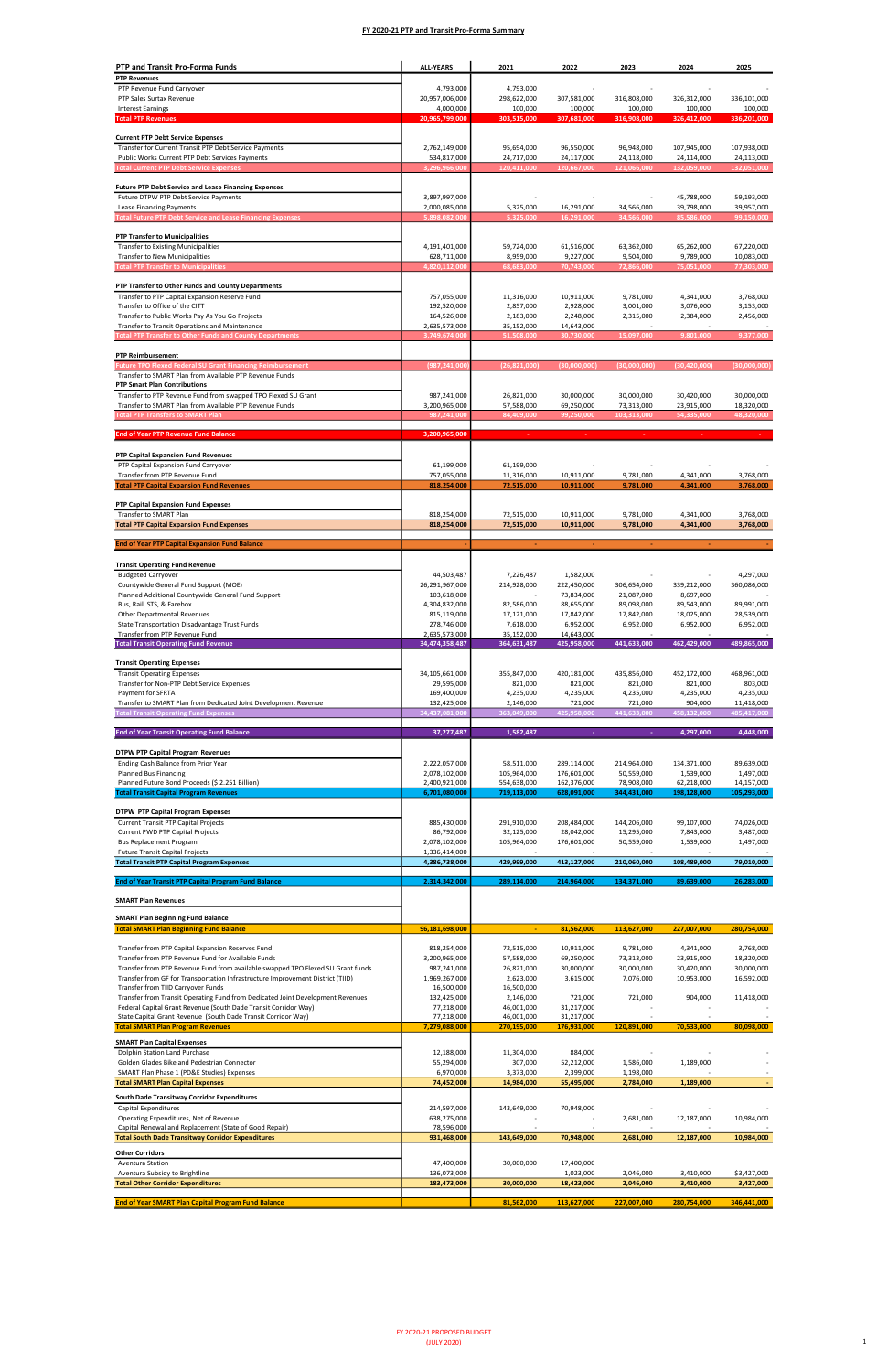| <b>PTP and Transit Pro-Forma Funds</b>                                                                                   | <b>ALL-YEARS</b>               | 2021                       | 2022                       | 2023                      | 2024                     | 2025                     |
|--------------------------------------------------------------------------------------------------------------------------|--------------------------------|----------------------------|----------------------------|---------------------------|--------------------------|--------------------------|
| <b>PTP Revenues</b>                                                                                                      |                                |                            |                            |                           |                          |                          |
| PTP Revenue Fund Carryover<br>PTP Sales Surtax Revenue                                                                   | 4,793,000                      | 4,793,000<br>298,622,000   | 307,581,000                | 316,808,000               |                          |                          |
| <b>Interest Earnings</b>                                                                                                 | 20,957,006,000<br>4,000,000    | 100,000                    | 100,000                    | 100,000                   | 326,312,000<br>100,000   | 336,101,000<br>100,000   |
| <b>Total PTP Revenues</b>                                                                                                | 20,965,799,000                 | 303,515,000                | 307,681,000                | 316,908,000               | 326,412,000              | 336,201,000              |
| <b>Current PTP Debt Service Expenses</b>                                                                                 |                                |                            |                            |                           |                          |                          |
| Transfer for Current Transit PTP Debt Service Payments                                                                   | 2,762,149,000                  | 95,694,000                 | 96,550,000                 | 96,948,000                | 107,945,000              | 107,938,000              |
| Public Works Current PTP Debt Services Payments                                                                          | 534,817,000                    | 24,717,000                 | 24,117,000                 | 24,118,000                | 24,114,000               | 24,113,000               |
| <b>Total Current PTP Debt Service Expenses</b>                                                                           | 3,296,966,000                  | 120,411,000                | 120,667,000                | 121,066,000               | 132,059,000              | 132,051,000              |
| <b>Future PTP Debt Service and Lease Financing Expenses</b>                                                              |                                |                            |                            |                           |                          |                          |
| Future DTPW PTP Debt Service Payments                                                                                    | 3,897,997,000                  |                            |                            |                           | 45,788,000               | 59,193,000               |
| Lease Financing Payments<br><b>Total Future PTP Debt Service and Lease Financing Expenses</b>                            | 2,000,085,000<br>5,898,082,000 | 5,325,000<br>5,325,000     | 16,291,000<br>16,291,000   | 34,566,000<br>34,566,000  | 39,798,000<br>85,586,000 | 39,957,000<br>99,150,000 |
|                                                                                                                          |                                |                            |                            |                           |                          |                          |
| <b>PTP Transfer to Municipalities</b>                                                                                    |                                |                            |                            |                           |                          |                          |
| <b>Transfer to Existing Municipalities</b><br>Transfer to New Municipalities                                             | 4,191,401,000<br>628,711,000   | 59,724,000<br>8,959,000    | 61,516,000<br>9,227,000    | 63,362,000<br>9,504,000   | 65,262,000<br>9,789,000  | 67,220,000<br>10,083,000 |
| <b>Total PTP Transfer to Municipalities</b>                                                                              | 4,820,112,000                  | 68,683,000                 | 70,743,000                 | 72,866,000                | 75,051,000               | 77,303,000               |
| PTP Transfer to Other Funds and County Departments                                                                       |                                |                            |                            |                           |                          |                          |
| Transfer to PTP Capital Expansion Reserve Fund                                                                           | 757,055,000                    | 11,316,000                 | 10,911,000                 | 9,781,000                 | 4,341,000                | 3,768,000                |
| Transfer to Office of the CITT                                                                                           | 192,520,000                    | 2,857,000                  | 2,928,000                  | 3,001,000                 | 3,076,000                | 3,153,000                |
| Transfer to Public Works Pay As You Go Projects<br>Transfer to Transit Operations and Maintenance                        | 164,526,000<br>2,635,573,000   | 2,183,000<br>35,152,000    | 2,248,000<br>14,643,000    | 2,315,000                 | 2,384,000                | 2,456,000                |
| <b>Total PTP Transfer to Other Funds and County Departments</b>                                                          | 3,749,674,000                  | 51,508,000                 | 30,730,000                 | 15,097,000                | 9,801,000                | 9,377,000                |
|                                                                                                                          |                                |                            |                            |                           |                          |                          |
| <b>PTP Reimbursement</b><br><b>Future TPO Flexed Federal SU Grant Financing Reimbursement</b>                            | (987,241,000                   | (26,821,000)               | (30,000,000)               | (30,000,000)              | (30, 420, 000)           | (30,000,000)             |
| Transfer to SMART Plan from Available PTP Revenue Funds                                                                  |                                |                            |                            |                           |                          |                          |
| <b>PTP Smart Plan Contributions</b>                                                                                      |                                |                            |                            |                           |                          |                          |
| Transfer to PTP Revenue Fund from swapped TPO Flexed SU Grant<br>Transfer to SMART Plan from Available PTP Revenue Funds | 987,241,000<br>3,200,965,000   | 26,821,000<br>57,588,000   | 30,000,000<br>69,250,000   | 30,000,000<br>73,313,000  | 30,420,000<br>23,915,000 | 30,000,000<br>18,320,000 |
| <b>Total PTP Transfers to SMART Plan</b>                                                                                 | 987,241,000                    | 84,409,000                 | 99,250,000                 | 103,313,000               | 54,335,000               | 48,320,000               |
| <b>End of Year PTP Revenue Fund Balance</b>                                                                              |                                | ×.                         | ×.                         |                           |                          |                          |
|                                                                                                                          | 3,200,965,000                  |                            |                            |                           |                          |                          |
| PTP Capital Expansion Fund Revenues                                                                                      |                                |                            |                            |                           |                          |                          |
| PTP Capital Expansion Fund Carryover                                                                                     | 61,199,000                     | 61,199,000                 |                            |                           |                          |                          |
| Transfer from PTP Revenue Fund<br><b>Total PTP Capital Expansion Fund Revenues</b>                                       | 757,055,000<br>818,254,000     | 11,316,000<br>72,515,000   | 10,911,000<br>10,911,000   | 9,781,000<br>9,781,000    | 4,341,000<br>4,341,000   | 3,768,000<br>3,768,000   |
|                                                                                                                          |                                |                            |                            |                           |                          |                          |
| PTP Capital Expansion Fund Expenses<br>Transfer to SMART Plan                                                            | 818,254,000                    | 72,515,000                 | 10,911,000                 | 9,781,000                 | 4,341,000                | 3,768,000                |
| <b>Total PTP Capital Expansion Fund Expenses</b>                                                                         | 818,254,000                    | 72,515,000                 | 10,911,000                 | 9,781,000                 | 4,341,000                | 3,768,000                |
|                                                                                                                          |                                |                            |                            |                           |                          |                          |
| <b>End of Year PTP Capital Expansion Fund Balance</b>                                                                    |                                |                            |                            |                           |                          |                          |
| <b>Transit Operating Fund Revenue</b>                                                                                    |                                |                            |                            |                           |                          |                          |
| <b>Budgeted Carryover</b>                                                                                                | 44,503,487                     | 7,226,487                  | 1,582,000                  |                           |                          | 4,297,000                |
| Countywide General Fund Support (MOE)<br>Planned Additional Countywide General Fund Support                              | 26,291,967,000<br>103,618,000  | 214,928,000                | 222,450,000<br>73,834,000  | 306,654,000<br>21,087,000 | 339,212,000<br>8,697,000 | 360,086,000              |
| Bus, Rail, STS, & Farebox                                                                                                | 4,304,832,000                  | 82,586,000                 | 88,655,000                 | 89,098,000                | 89,543,000               | 89,991,000               |
| Other Departmental Revenues<br>State Transportation Disadvantage Trust Funds                                             | 815,119,000<br>278,746,000     | 17,121,000<br>7,618,000    | 17,842,000<br>6,952,000    | 17,842,000<br>6,952,000   | 18,025,000<br>6,952,000  | 28,539,000<br>6,952,000  |
| Transfer from PTP Revenue Fund                                                                                           | 2,635,573,000                  | 35,152,000                 | 14,643,000                 |                           |                          |                          |
| <b>Total Transit Operating Fund Revenue</b>                                                                              | 34,474,358,487                 | 364,631,487                | 425,958,000                | 441,633,000               | 462,429,000              | 489,865,000              |
| <b>Transit Operating Expenses</b>                                                                                        |                                |                            |                            |                           |                          |                          |
| <b>Transit Operating Expenses</b>                                                                                        | 34,105,661,000                 | 355,847,000                | 420,181,000                | 435,856,000               | 452,172,000              | 468,961,000              |
| Transfer for Non-PTP Debt Service Expenses                                                                               | 29,595,000                     | 821,000                    | 821,000                    | 821,000                   | 821,000                  | 803,000                  |
| Payment for SFRTA<br>Transfer to SMART Plan from Dedicated Joint Development Revenue                                     | 169,400,000<br>132,425,000     | 4,235,000<br>2,146,000     | 4,235,000<br>721,000       | 4,235,000<br>721,000      | 4,235,000<br>904,000     | 4,235,000<br>11,418,000  |
| <b>Total Transit Operating Fund Expenses</b>                                                                             | 34,437,081,000                 | 363,049,000                | 425,958,000                | 441,633,000               | 458,132,000              | 485,417,000              |
| <b>End of Year Transit Operating Fund Balance</b>                                                                        | 37,277,487                     | 1,582,487                  |                            |                           | 4,297,000                | 4,448,000                |
|                                                                                                                          |                                |                            |                            |                           |                          |                          |
| <b>DTPW PTP Capital Program Revenues</b>                                                                                 |                                |                            |                            |                           |                          |                          |
| Ending Cash Balance from Prior Year                                                                                      | 2,222,057,000                  | 58,511,000                 | 289,114,000                | 214,964,000               | 134,371,000              | 89,639,000               |
| <b>Planned Bus Financing</b><br>Planned Future Bond Proceeds (\$ 2.251 Billion)                                          | 2,078,102,000<br>2,400,921,000 | 105,964,000<br>554,638,000 | 176,601,000<br>162,376,000 | 50,559,000<br>78,908,000  | 1,539,000<br>62,218,000  | 1,497,000<br>14,157,000  |
| <b>Total Transit Capital Program Revenues</b>                                                                            | 6,701,080,000                  | 719,113,000                | 628,091,000                | 344,431,000               | 198,128,000              | 105,293,000              |
| <b>DTPW PTP Capital Program Expenses</b>                                                                                 |                                |                            |                            |                           |                          |                          |
| <b>Current Transit PTP Capital Projects</b>                                                                              | 885,430,000                    | 291,910,000                | 208,484,000                | 144,206,000               | 99,107,000               | 74,026,000               |
| Current PWD PTP Capital Projects                                                                                         | 86,792,000                     | 32,125,000                 | 28,042,000                 | 15,295,000                | 7,843,000                | 3,487,000                |
| <b>Bus Replacement Program</b><br><b>Future Transit Capital Projects</b>                                                 | 2,078,102,000<br>1,336,414,000 | 105,964,000                | 176,601,000                | 50,559,000                | 1,539,000                | 1,497,000                |
| <b>Total Transit PTP Capital Program Expenses</b>                                                                        | 4,386,738,000                  | 429,999,000                | 413,127,000                | 210,060,000               | 108,489,000              | 79,010,000               |
|                                                                                                                          |                                |                            |                            |                           |                          |                          |
| <b>End of Year Transit PTP Capital Program Fund Balance</b>                                                              | 2,314,342,000                  | 289,114,000                | 214,964,000                | 134,371,000               | 89,639,000               | 26,283,000               |
| <b>SMART Plan Revenues</b>                                                                                               |                                |                            |                            |                           |                          |                          |
| <b>SMART Plan Beginning Fund Balance</b>                                                                                 |                                |                            |                            |                           |                          |                          |
| <b>Total SMART Plan Beginning Fund Balance</b>                                                                           | 96.181.698.000                 | $\blacksquare$             | 81,562,000                 | 113,627,000               | 227,007,000              | 280,754,000              |
| Transfer from PTP Capital Expansion Reserves Fund                                                                        | 818,254,000                    | 72,515,000                 | 10,911,000                 | 9,781,000                 | 4,341,000                | 3,768,000                |
| Transfer from PTP Revenue Fund for Available Funds                                                                       | 3,200,965,000                  | 57,588,000                 | 69,250,000                 | 73,313,000                | 23,915,000               | 18,320,000               |
| Transfer from PTP Revenue Fund from available swapped TPO Flexed SU Grant funds                                          | 987,241,000                    | 26,821,000                 | 30,000,000                 | 30,000,000                | 30,420,000               | 30,000,000               |
| Transfer from GF for Transportation Infrastructure Improvement District (TIID)<br>Transfer from TIID Carryover Funds     | 1,969,267,000<br>16,500,000    | 2,623,000<br>16,500,000    | 3,615,000                  | 7,076,000                 | 10,953,000               | 16,592,000               |
| Transfer from Transit Operating Fund from Dedicated Joint Development Revenues                                           | 132,425,000                    | 2,146,000                  | 721,000                    | 721,000                   | 904,000                  | 11,418,000               |

| Federal Capital Grant Revenue (South Dade Transit Corridor Way) | 77,218,000    | 46,001,000  | 31,217,000               |             |             |             |
|-----------------------------------------------------------------|---------------|-------------|--------------------------|-------------|-------------|-------------|
| State Capital Grant Revenue (South Dade Transit Corridor Way)   | 77,218,000    | 46,001,000  | 31,217,000               |             |             |             |
| <b>Total SMART Plan Program Revenues</b>                        | 7,279,088,000 | 270,195,000 | 176,931,000              | 120,891,000 | 70,533,000  | 80,098,000  |
| <b>SMART Plan Capital Expenses</b>                              |               |             |                          |             |             |             |
| Dolphin Station Land Purchase                                   | 12,188,000    | 11,304,000  | 884,000                  |             |             |             |
| Golden Glades Bike and Pedestrian Connector                     | 55,294,000    | 307,000     | 52,212,000               | 1,586,000   | 1,189,000   |             |
| SMART Plan Phase 1 (PD&E Studies) Expenses                      | 6,970,000     | 3,373,000   | 2,399,000                | 1,198,000   |             |             |
| <b>Total SMART Plan Capital Expenses</b>                        | 74,452,000    | 14,984,000  | 55,495,000               | 2,784,000   | 1,189,000   |             |
| South Dade Transitway Corridor Expenditures                     |               |             |                          |             |             |             |
| Capital Expenditures                                            | 214,597,000   | 143,649,000 | 70,948,000               |             |             |             |
| Operating Expenditures, Net of Revenue                          | 638,275,000   |             | $\overline{\phantom{a}}$ | 2,681,000   | 12,187,000  | 10,984,000  |
| Capital Renewal and Replacement (State of Good Repair)          | 78,596,000    |             |                          |             |             |             |
| <b>Total South Dade Transitway Corridor Expenditures</b>        | 931,468,000   | 143,649,000 | 70,948,000               | 2,681,000   | 12,187,000  | 10,984,000  |
| <b>Other Corridors</b>                                          |               |             |                          |             |             |             |
| Aventura Station                                                | 47,400,000    | 30,000,000  | 17,400,000               |             |             |             |
| Aventura Subsidy to Brightline                                  | 136,073,000   |             | 1,023,000                | 2,046,000   | 3,410,000   | \$3,427,000 |
| <b>Total Other Corridor Expenditures</b>                        | 183,473,000   | 30,000,000  | 18,423,000               | 2,046,000   | 3,410,000   | 3,427,000   |
|                                                                 |               |             |                          |             |             |             |
| <b>End of Year SMART Plan Capital Program Fund Balance</b>      |               | 81,562,000  | 113,627,000              | 227,007,000 | 280,754,000 | 346,441,000 |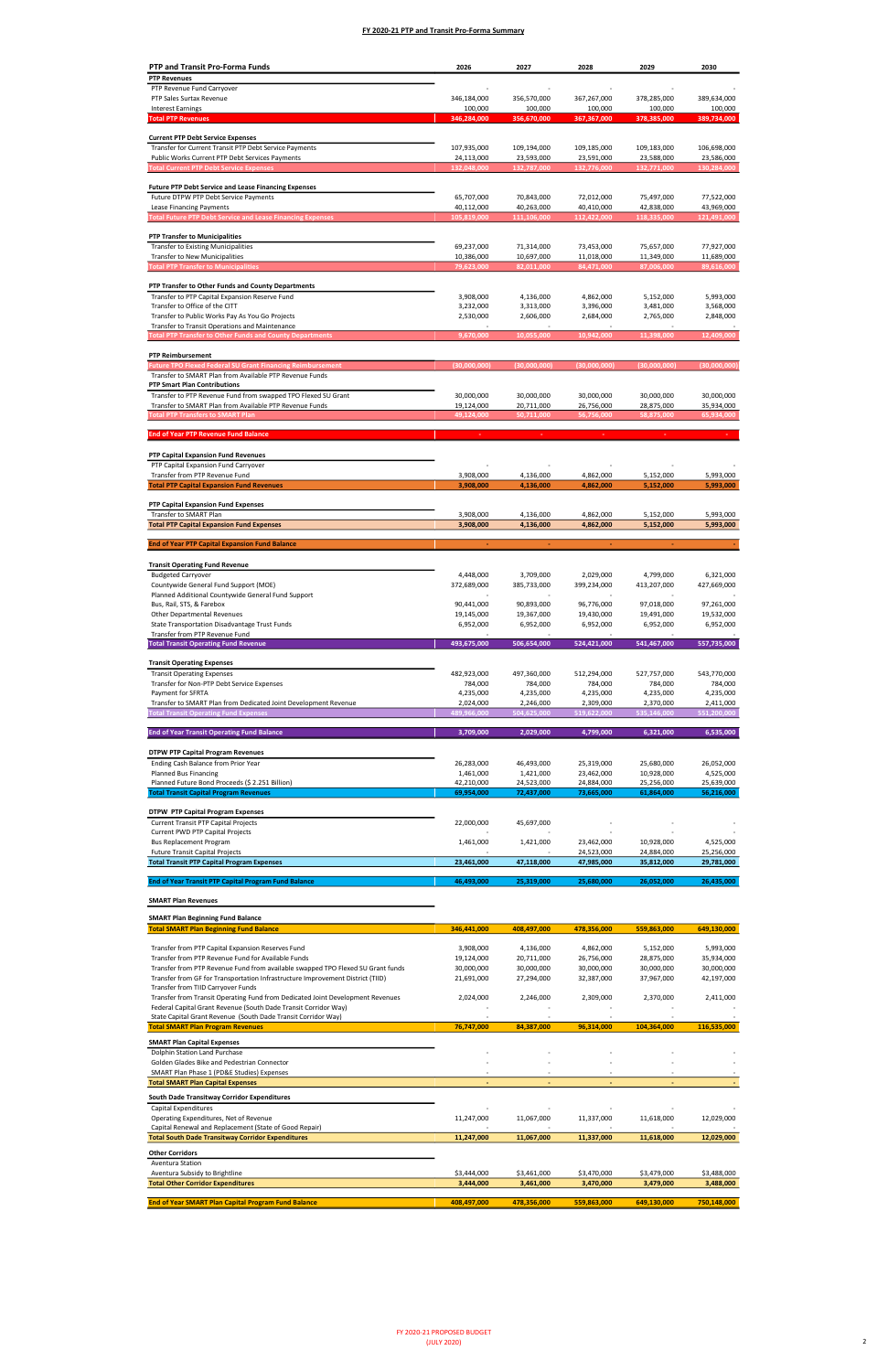| <b>PTP and Transit Pro-Forma Funds</b>                                                                                                | 2026                     | 2027                     | 2028                     | 2029                     | 2030                     |
|---------------------------------------------------------------------------------------------------------------------------------------|--------------------------|--------------------------|--------------------------|--------------------------|--------------------------|
| <b>PTP Revenues</b>                                                                                                                   |                          |                          |                          |                          |                          |
| PTP Revenue Fund Carryover                                                                                                            |                          |                          |                          |                          |                          |
| PTP Sales Surtax Revenue<br><b>Interest Earnings</b>                                                                                  | 346,184,000<br>100,000   | 356,570,000<br>100,000   | 367,267,000<br>100,000   | 378,285,000<br>100,000   | 389,634,000<br>100,000   |
| <b>Total PTP Revenues</b>                                                                                                             | 346,284,000              | 356,670,000              | 367,367,000              | 378,385,000              | 389,734,000              |
|                                                                                                                                       |                          |                          |                          |                          |                          |
| <b>Current PTP Debt Service Expenses</b><br>Transfer for Current Transit PTP Debt Service Payments                                    | 107,935,000              | 109,194,000              | 109,185,000              | 109,183,000              | 106,698,000              |
| Public Works Current PTP Debt Services Payments                                                                                       | 24,113,000               | 23,593,000               | 23,591,000               | 23,588,000               | 23,586,000               |
| <b>Total Current PTP Debt Service Expenses</b>                                                                                        | 132,048,000              | 132,787,000              | 132,776,000              | 132,771,000              | 130,284,000              |
|                                                                                                                                       |                          |                          |                          |                          |                          |
| <b>Future PTP Debt Service and Lease Financing Expenses</b><br>Future DTPW PTP Debt Service Payments                                  | 65,707,000               | 70,843,000               | 72,012,000               | 75,497,000               | 77,522,000               |
| Lease Financing Payments                                                                                                              | 40,112,000               | 40,263,000               | 40,410,000               | 42,838,000               | 43,969,000               |
| <b>Total Future PTP Debt Service and Lease Financing Expenses</b>                                                                     | 105,819,000              | 111,106,000              | 112,422,000              | 118,335,000              | 121,491,000              |
| <b>PTP Transfer to Municipalities</b>                                                                                                 |                          |                          |                          |                          |                          |
| <b>Transfer to Existing Municipalities</b>                                                                                            | 69,237,000               | 71,314,000               | 73,453,000               | 75,657,000               | 77,927,000               |
| <b>Transfer to New Municipalities</b>                                                                                                 | 10,386,000               | 10,697,000               | 11,018,000               | 11,349,000               | 11,689,000               |
| <b>Total PTP Transfer to Municipalities</b>                                                                                           | 79,623,000               | 82,011,000               | 84,471,000               | 87,006,000               | 89,616,000               |
| PTP Transfer to Other Funds and County Departments                                                                                    |                          |                          |                          |                          |                          |
| Transfer to PTP Capital Expansion Reserve Fund                                                                                        | 3,908,000                | 4,136,000                | 4,862,000                | 5,152,000                | 5,993,000                |
| Transfer to Office of the CITT                                                                                                        | 3,232,000                | 3,313,000                | 3,396,000                | 3,481,000                | 3,568,000                |
| Transfer to Public Works Pay As You Go Projects<br>Transfer to Transit Operations and Maintenance                                     | 2,530,000                | 2,606,000                | 2,684,000                | 2,765,000                | 2,848,000                |
| <b>Total PTP Transfer to Other Funds and County Departments</b>                                                                       | 9,670,000                | 10,055,000               | 10,942,000               | 11,398,000               | 12,409,000               |
|                                                                                                                                       |                          |                          |                          |                          |                          |
| <b>PTP Reimbursement</b><br><b>Future TPO Flexed Federal SU Grant Financing Reimbursement</b>                                         | (30,000,000)             | (30,000,000)             | (30.000.000)             | (30,000,000)             | (30,000,000)             |
| Transfer to SMART Plan from Available PTP Revenue Funds                                                                               |                          |                          |                          |                          |                          |
| <b>PTP Smart Plan Contributions</b>                                                                                                   |                          |                          |                          |                          |                          |
| Transfer to PTP Revenue Fund from swapped TPO Flexed SU Grant                                                                         | 30,000,000               | 30,000,000               | 30,000,000               | 30,000,000               | 30,000,000               |
| Transfer to SMART Plan from Available PTP Revenue Funds<br><b>Total PTP Transfers to SMART Plan</b>                                   | 19,124,000<br>49,124,000 | 20,711,000<br>50,711,000 | 26,756,000<br>56,756,000 | 28,875,000<br>58,875,000 | 35,934,000<br>65,934,000 |
|                                                                                                                                       |                          |                          |                          |                          |                          |
| <b>End of Year PTP Revenue Fund Balance</b>                                                                                           |                          |                          |                          |                          |                          |
| PTP Capital Expansion Fund Revenues                                                                                                   |                          |                          |                          |                          |                          |
| PTP Capital Expansion Fund Carryover                                                                                                  |                          |                          |                          |                          |                          |
| Transfer from PTP Revenue Fund                                                                                                        | 3,908,000                | 4,136,000                | 4,862,000                | 5,152,000                | 5,993,000                |
| <b>Total PTP Capital Expansion Fund Revenues</b>                                                                                      | 3,908,000                | 4,136,000                | 4,862,000                | 5,152,000                | 5,993,000                |
| PTP Capital Expansion Fund Expenses                                                                                                   |                          |                          |                          |                          |                          |
| Transfer to SMART Plan                                                                                                                | 3,908,000                | 4,136,000                | 4,862,000                | 5,152,000                | 5,993,000                |
| <b>Total PTP Capital Expansion Fund Expenses</b>                                                                                      | 3,908,000                | 4,136,000                | 4,862,000                | 5,152,000                | 5,993,000                |
| <b>End of Year PTP Capital Expansion Fund Balance</b>                                                                                 |                          | ×                        |                          |                          |                          |
|                                                                                                                                       |                          |                          |                          |                          |                          |
| <b>Transit Operating Fund Revenue</b>                                                                                                 |                          |                          |                          |                          |                          |
| <b>Budgeted Carryover</b><br>Countywide General Fund Support (MOE)                                                                    | 4,448,000<br>372,689,000 | 3,709,000<br>385,733,000 | 2,029,000<br>399,234,000 | 4,799,000<br>413,207,000 | 6,321,000<br>427,669,000 |
| Planned Additional Countywide General Fund Support                                                                                    |                          |                          |                          |                          |                          |
| Bus, Rail, STS, & Farebox                                                                                                             | 90,441,000               | 90,893,000               | 96,776,000               | 97,018,000               | 97,261,000               |
| Other Departmental Revenues<br>State Transportation Disadvantage Trust Funds                                                          | 19,145,000<br>6,952,000  | 19,367,000<br>6,952,000  | 19,430,000               | 19,491,000<br>6,952,000  | 19,532,000               |
| Transfer from PTP Revenue Fund                                                                                                        |                          |                          | 6,952,000                |                          | 6,952,000                |
| <b>Total Transit Operating Fund Revenue</b>                                                                                           | 493,675,000              | 506,654,000              | 524,421,000              | 541,467,000              | 557,735,000              |
|                                                                                                                                       |                          |                          |                          |                          |                          |
| <b>Transit Operating Expenses</b><br><b>Transit Operating Expenses</b>                                                                | 482,923,000              | 497,360,000              | 512,294,000              | 527,757,000              | 543,770,000              |
| Transfer for Non-PTP Debt Service Expenses                                                                                            | 784,000                  | 784,000                  | 784,000                  | 784,000                  | 784,000                  |
| Payment for SFRTA                                                                                                                     | 4,235,000                | 4,235,000                | 4,235,000                | 4,235,000                | 4,235,000                |
| Transfer to SMART Plan from Dedicated Joint Development Revenue<br><b>Total Transit Operating Fund Expenses</b>                       | 2,024,000<br>489,966,000 | 2,246,000<br>504,625,000 | 2,309,000<br>519,622,000 | 2,370,000<br>535,146,000 | 2,411,000<br>551,200,000 |
|                                                                                                                                       |                          |                          |                          |                          |                          |
| <b>End of Year Transit Operating Fund Balance</b>                                                                                     | 3,709,000                | 2,029,000                | 4,799,000                | 6,321,000                | 6,535,000                |
|                                                                                                                                       |                          |                          |                          |                          |                          |
| <b>DTPW PTP Capital Program Revenues</b><br>Ending Cash Balance from Prior Year                                                       | 26,283,000               | 46,493,000               | 25,319,000               | 25,680,000               | 26,052,000               |
| Planned Bus Financing                                                                                                                 | 1,461,000                | 1,421,000                | 23,462,000               | 10,928,000               | 4,525,000                |
| Planned Future Bond Proceeds (\$ 2.251 Billion)                                                                                       | 42,210,000               | 24,523,000               | 24,884,000               | 25,256,000               | 25,639,000               |
| <b>Total Transit Capital Program Revenues</b>                                                                                         | 69,954,000               | 72,437,000               | 73,665,000               | 61,864,000               | 56,216,000               |
| <b>DTPW PTP Capital Program Expenses</b>                                                                                              |                          |                          |                          |                          |                          |
| <b>Current Transit PTP Capital Projects</b>                                                                                           | 22,000,000               | 45,697,000               |                          |                          |                          |
| Current PWD PTP Capital Projects                                                                                                      |                          |                          |                          |                          |                          |
| <b>Bus Replacement Program</b><br><b>Future Transit Capital Projects</b>                                                              | 1,461,000                | 1,421,000                | 23,462,000<br>24,523,000 | 10,928,000<br>24,884,000 | 4,525,000<br>25,256,000  |
| <b>Total Transit PTP Capital Program Expenses</b>                                                                                     | 23,461,000               | 47,118,000               | 47,985,000               | 35,812,000               | 29,781,000               |
|                                                                                                                                       |                          |                          |                          |                          |                          |
| <b>End of Year Transit PTP Capital Program Fund Balance</b>                                                                           | 46,493,000               | 25,319,000               | 25,680,000               | 26,052,000               | 26,435,000               |
| <b>SMART Plan Revenues</b>                                                                                                            |                          |                          |                          |                          |                          |
| <b>SMART Plan Beginning Fund Balance</b>                                                                                              |                          |                          |                          |                          |                          |
| <b>Total SMART Plan Beginning Fund Balance</b>                                                                                        | 346,441,000              | 408,497,000              | 478,356,000              | 559,863,000              | 649,130,000              |
|                                                                                                                                       |                          |                          |                          |                          |                          |
| Transfer from PTP Capital Expansion Reserves Fund                                                                                     | 3,908,000                | 4,136,000                | 4,862,000                | 5,152,000                | 5,993,000                |
| Transfer from PTP Revenue Fund for Available Funds<br>Transfer from PTP Revenue Fund from available swapped TPO Flexed SU Grant funds | 19,124,000<br>30,000,000 | 20,711,000<br>30,000,000 | 26,756,000<br>30,000,000 | 28,875,000<br>30,000,000 | 35,934,000<br>30,000,000 |
| Transfer from GF for Transportation Infrastructure Improvement District (TIID)                                                        | 21,691,000               | 27,294,000               | 32,387,000               | 37,967,000               | 42,197,000               |
| Transfer from TIID Carryover Funds                                                                                                    |                          |                          |                          |                          |                          |
| Transfer from Transit Operating Fund from Dedicated Joint Development Revenues                                                        | 2,024,000                | 2,246,000                | 2,309,000                | 2,370,000                | 2,411,000                |

| 76,747,000  | 84,387,000  | 96,314,000  | 104.364.000 | 116,535,000 |
|-------------|-------------|-------------|-------------|-------------|
|             |             |             |             |             |
|             |             |             |             |             |
|             |             |             |             |             |
|             |             |             |             |             |
|             |             |             |             |             |
|             |             |             |             |             |
|             |             |             |             |             |
| 11,247,000  | 11,067,000  | 11,337,000  | 11,618,000  | 12,029,000  |
|             |             |             |             |             |
| 11,247,000  | 11,067,000  | 11,337,000  | 11,618,000  | 12,029,000  |
|             |             |             |             |             |
|             |             |             |             |             |
| \$3,444,000 | \$3,461,000 | \$3,470,000 | \$3,479,000 | \$3,488,000 |
| 3,444,000   | 3,461,000   | 3,470,000   | 3,479,000   | 3,488,000   |
|             |             |             |             | 750,148,000 |
|             | 408,497,000 | 478,356,000 | 559,863,000 | 649,130,000 |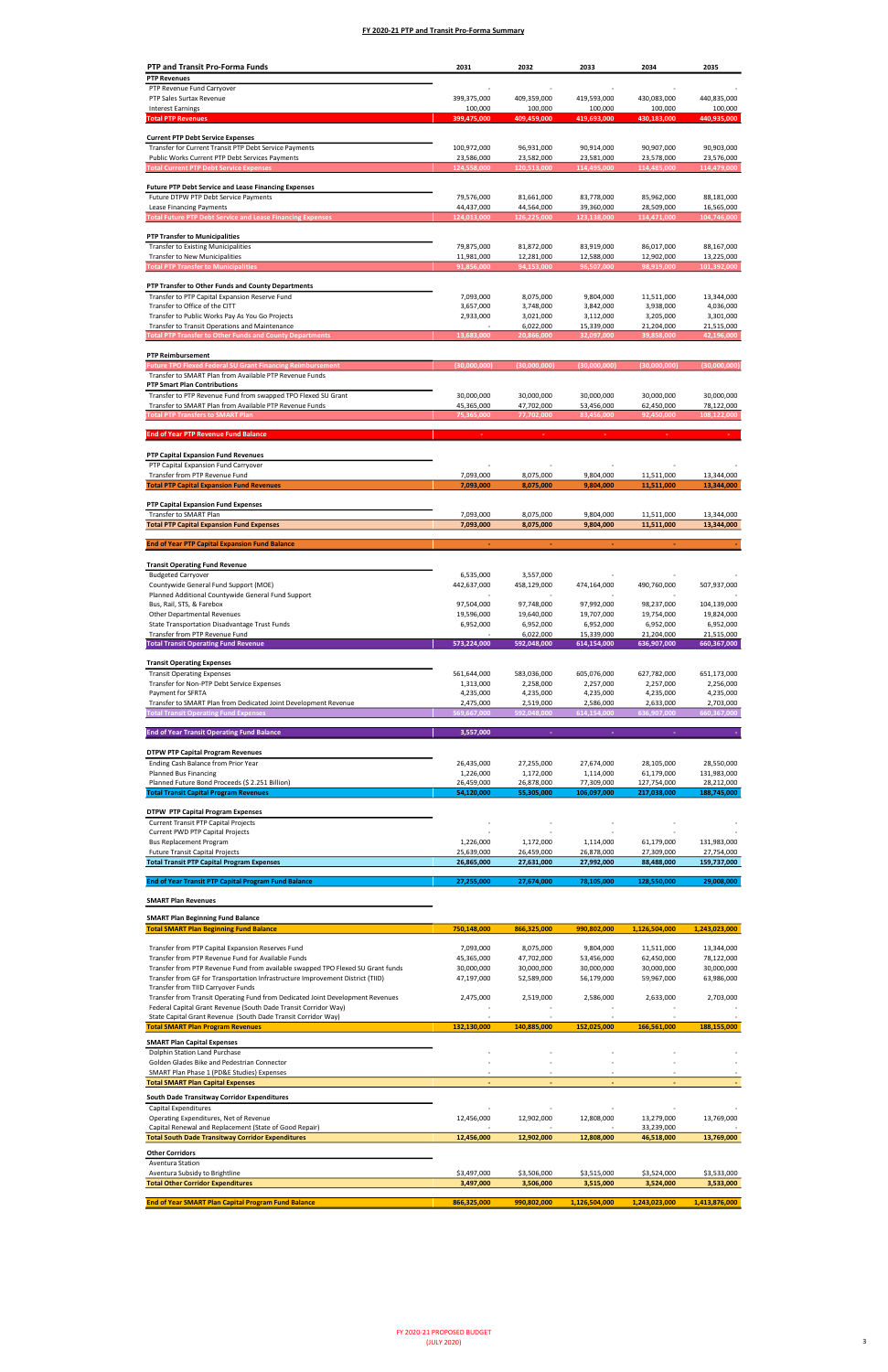Transfer from Transit Operating Fund from Dedicated Joint Development Revenues

| <b>PTP and Transit Pro-Forma Funds</b>                                                                                                                            | 2031                      | 2032                      | 2033                      | 2034                      | 2035                      |
|-------------------------------------------------------------------------------------------------------------------------------------------------------------------|---------------------------|---------------------------|---------------------------|---------------------------|---------------------------|
| <b>PTP Revenues</b>                                                                                                                                               |                           |                           |                           |                           |                           |
| PTP Revenue Fund Carryover<br>PTP Sales Surtax Revenue                                                                                                            | 399,375,000               | 409,359,000               | 419,593,000               | 430,083,000               | 440,835,000               |
| <b>Interest Earnings</b>                                                                                                                                          | 100,000                   | 100,000                   | 100,000                   | 100,000                   | 100,000                   |
| <b>Total PTP Revenues</b>                                                                                                                                         | 399,475,000               | 409,459,000               | 419,693,000               | 430,183,000               | 440,935,000               |
| <b>Current PTP Debt Service Expenses</b>                                                                                                                          |                           |                           |                           |                           |                           |
| Transfer for Current Transit PTP Debt Service Payments                                                                                                            | 100,972,000               | 96,931,000                | 90,914,000                | 90,907,000                | 90,903,000                |
| Public Works Current PTP Debt Services Payments                                                                                                                   | 23,586,000                | 23,582,000                | 23,581,000                | 23,578,000                | 23,576,000                |
| <b>Total Current PTP Debt Service Expenses</b>                                                                                                                    | 124,558,000               | 120,513,000               | 114,495,000               | 114,485,000               | 114,479,000               |
| <b>Future PTP Debt Service and Lease Financing Expenses</b>                                                                                                       |                           |                           |                           |                           |                           |
| Future DTPW PTP Debt Service Payments                                                                                                                             | 79,576,000                | 81,661,000                | 83,778,000                | 85,962,000                | 88,181,000                |
| Lease Financing Payments<br><b>Total Future PTP Debt Service and Lease Financing Expenses</b>                                                                     | 44,437,000<br>124,013,000 | 44,564,000<br>126,225,000 | 39,360,000<br>123,138,000 | 28,509,000<br>114,471,000 | 16,565,000<br>104,746,000 |
|                                                                                                                                                                   |                           |                           |                           |                           |                           |
| <b>PTP Transfer to Municipalities</b>                                                                                                                             |                           |                           |                           |                           |                           |
| <b>Transfer to Existing Municipalities</b><br><b>Transfer to New Municipalities</b>                                                                               | 79,875,000<br>11,981,000  | 81,872,000<br>12,281,000  | 83,919,000<br>12,588,000  | 86,017,000<br>12,902,000  | 88,167,000<br>13,225,000  |
| <b>Total PTP Transfer to Municipalities</b>                                                                                                                       | 91,856,000                | 94,153,000                | 96,507,000                | 98,919,000                | 101,392,000               |
|                                                                                                                                                                   |                           |                           |                           |                           |                           |
| PTP Transfer to Other Funds and County Departments<br>Transfer to PTP Capital Expansion Reserve Fund                                                              | 7,093,000                 | 8,075,000                 | 9,804,000                 | 11,511,000                | 13,344,000                |
| Transfer to Office of the CITT                                                                                                                                    | 3,657,000                 | 3,748,000                 | 3,842,000                 | 3,938,000                 | 4,036,000                 |
| Transfer to Public Works Pay As You Go Projects                                                                                                                   | 2,933,000                 | 3,021,000                 | 3,112,000                 | 3,205,000                 | 3,301,000                 |
| Transfer to Transit Operations and Maintenance<br><b>Total PTP Transfer to Other Funds and County Departments</b>                                                 | 13,683,000                | 6,022,000<br>20,866,000   | 15,339,000<br>32,097,000  | 21,204,000<br>39,858,000  | 21,515,000<br>42,196,000  |
|                                                                                                                                                                   |                           |                           |                           |                           |                           |
| <b>PTP Reimbursement</b>                                                                                                                                          |                           |                           |                           |                           |                           |
| <b>Future TPO Flexed Federal SU Grant Financing Reimbursement</b>                                                                                                 | (30.000.000)              | (30,000,000)              | (30,000,000)              | (30,000,000)              | (30,000,000)              |
| Transfer to SMART Plan from Available PTP Revenue Funds<br><b>PTP Smart Plan Contributions</b>                                                                    |                           |                           |                           |                           |                           |
| Transfer to PTP Revenue Fund from swapped TPO Flexed SU Grant                                                                                                     | 30,000,000                | 30,000,000                | 30,000,000                | 30,000,000                | 30,000,000                |
| Transfer to SMART Plan from Available PTP Revenue Funds                                                                                                           | 45,365,000                | 47,702,000                | 53,456,000                | 62,450,000                | 78,122,000                |
| <b>Total PTP Transfers to SMART Plan</b>                                                                                                                          | 75,365,000                | 77,702,000                | 83,456,000                | 92,450,000                | 108,122,000               |
| <b>End of Year PTP Revenue Fund Balance</b>                                                                                                                       |                           |                           |                           |                           |                           |
|                                                                                                                                                                   |                           |                           |                           |                           |                           |
| PTP Capital Expansion Fund Revenues<br>PTP Capital Expansion Fund Carryover                                                                                       |                           |                           |                           |                           |                           |
| Transfer from PTP Revenue Fund                                                                                                                                    | 7,093,000                 | 8,075,000                 | 9,804,000                 | 11,511,000                | 13,344,000                |
| <b>Total PTP Capital Expansion Fund Revenues</b>                                                                                                                  | 7,093,000                 | 8,075,000                 | 9,804,000                 | 11,511,000                | 13,344,000                |
| PTP Capital Expansion Fund Expenses                                                                                                                               |                           |                           |                           |                           |                           |
| Transfer to SMART Plan                                                                                                                                            | 7,093,000                 | 8,075,000                 | 9,804,000                 | 11,511,000                | 13,344,000                |
| <b>Total PTP Capital Expansion Fund Expenses</b>                                                                                                                  | 7,093,000                 | 8,075,000                 | 9,804,000                 | 11,511,000                | 13,344,000                |
| <b>End of Year PTP Capital Expansion Fund Balance</b>                                                                                                             |                           | ÷                         |                           |                           |                           |
|                                                                                                                                                                   |                           |                           |                           |                           |                           |
| <b>Transit Operating Fund Revenue</b>                                                                                                                             |                           |                           |                           |                           |                           |
| <b>Budgeted Carryover</b>                                                                                                                                         | 6,535,000                 | 3,557,000                 |                           |                           |                           |
| Countywide General Fund Support (MOE)<br>Planned Additional Countywide General Fund Support                                                                       | 442,637,000               | 458,129,000               | 474,164,000               | 490,760,000               | 507,937,000               |
| Bus, Rail, STS, & Farebox                                                                                                                                         | 97,504,000                | 97,748,000                | 97,992,000                | 98,237,000                | 104,139,000               |
| Other Departmental Revenues                                                                                                                                       | 19,596,000                | 19,640,000                | 19,707,000                | 19,754,000                | 19,824,000                |
| State Transportation Disadvantage Trust Funds<br>Transfer from PTP Revenue Fund                                                                                   | 6,952,000                 | 6,952,000<br>6,022,000    | 6,952,000<br>15,339,000   | 6,952,000<br>21,204,000   | 6,952,000<br>21,515,000   |
| <b>Total Transit Operating Fund Revenue</b>                                                                                                                       | 573,224,000               | 592,048,000               | 614,154,000               | 636,907,000               | 660,367,000               |
|                                                                                                                                                                   |                           |                           |                           |                           |                           |
| <b>Transit Operating Expenses</b><br><b>Transit Operating Expenses</b>                                                                                            | 561,644,000               | 583,036,000               | 605,076,000               | 627,782,000               | 651,173,000               |
| Transfer for Non-PTP Debt Service Expenses                                                                                                                        | 1,313,000                 | 2,258,000                 | 2,257,000                 | 2,257,000                 | 2,256,000                 |
| Payment for SFRTA                                                                                                                                                 | 4,235,000                 | 4,235,000                 | 4,235,000                 | 4,235,000                 | 4,235,000                 |
| Transfer to SMART Plan from Dedicated Joint Development Revenue<br><b>Total Transit Operating Fund Expenses</b>                                                   | 2,475,000<br>569,667,000  | 2,519,000<br>592,048,000  | 2,586,000<br>614,154,000  | 2,633,000<br>636,907,000  | 2,703,000<br>660,367,000  |
|                                                                                                                                                                   |                           |                           |                           |                           |                           |
| <b>End of Year Transit Operating Fund Balance</b>                                                                                                                 | 3,557,000                 | ÷                         |                           |                           |                           |
|                                                                                                                                                                   |                           |                           |                           |                           |                           |
| <b>DTPW PTP Capital Program Revenues</b><br>Ending Cash Balance from Prior Year                                                                                   | 26,435,000                | 27,255,000                | 27,674,000                | 28,105,000                | 28,550,000                |
| <b>Planned Bus Financing</b>                                                                                                                                      | 1,226,000                 | 1,172,000                 | 1,114,000                 | 61,179,000                | 131,983,000               |
| Planned Future Bond Proceeds (\$ 2.251 Billion)                                                                                                                   | 26,459,000                | 26,878,000                | 77,309,000                | 127,754,000               | 28,212,000                |
| <b>Total Transit Capital Program Revenues</b>                                                                                                                     | 54,120,000                | 55,305,000                | 106,097,000               | 217,038,000               | 188,745,000               |
| <b>DTPW PTP Capital Program Expenses</b>                                                                                                                          |                           |                           |                           |                           |                           |
| <b>Current Transit PTP Capital Projects</b>                                                                                                                       |                           |                           |                           |                           |                           |
| Current PWD PTP Capital Projects<br><b>Bus Replacement Program</b>                                                                                                | 1,226,000                 | 1,172,000                 | 1,114,000                 | 61,179,000                | 131,983,000               |
| <b>Future Transit Capital Projects</b>                                                                                                                            | 25,639,000                | 26,459,000                | 26,878,000                | 27,309,000                | 27,754,000                |
| <b>Total Transit PTP Capital Program Expenses</b>                                                                                                                 | 26,865,000                | 27,631,000                | 27,992,000                | 88,488,000                | 159,737,000               |
| <b>End of Year Transit PTP Capital Program Fund Balance</b>                                                                                                       | 27,255,000                | 27,674,000                | 78,105,000                | 128,550,000               | 29,008,000                |
|                                                                                                                                                                   |                           |                           |                           |                           |                           |
| <b>SMART Plan Revenues</b>                                                                                                                                        |                           |                           |                           |                           |                           |
| <b>SMART Plan Beginning Fund Balance</b>                                                                                                                          |                           |                           |                           |                           |                           |
| <b>Total SMART Plan Beginning Fund Balance</b>                                                                                                                    | 750,148,000               | 866,325,000               | 990,802,000               | 1,126,504,000             | 1,243,023,000             |
|                                                                                                                                                                   |                           |                           |                           |                           |                           |
| Transfer from PTP Capital Expansion Reserves Fund<br>Transfer from PTP Revenue Fund for Available Funds                                                           | 7,093,000                 | 8,075,000                 | 9,804,000                 | 11,511,000                | 13,344,000                |
|                                                                                                                                                                   | 45,365,000                | 47,702,000                | 53,456,000                | 62,450,000                | 78,122,000                |
| Transfer from PTP Revenue Fund from available swapped TPO Flexed SU Grant funds<br>Transfer from GF for Transportation Infrastructure Improvement District (TIID) | 30,000,000<br>47,197,000  | 30,000,000<br>52,589,000  | 30,000,000<br>56,179,000  | 30,000,000<br>59,967,000  | 30,000,000<br>63,986,000  |

| Federal Capital Grant Revenue (South Dade Transit Corridor Way) |             |             |                          |                          |               |
|-----------------------------------------------------------------|-------------|-------------|--------------------------|--------------------------|---------------|
| State Capital Grant Revenue (South Dade Transit Corridor Way)   |             |             |                          |                          |               |
| <b>Total SMART Plan Program Revenues</b>                        | 132,130,000 | 140.885.000 | 152,025,000              | 166,561,000              | 188,155,000   |
| <b>SMART Plan Capital Expenses</b>                              |             |             |                          |                          |               |
| Dolphin Station Land Purchase                                   |             |             |                          |                          |               |
| Golden Glades Bike and Pedestrian Connector                     |             |             |                          |                          |               |
| SMART Plan Phase 1 (PD&E Studies) Expenses                      |             |             | ٠                        |                          |               |
| <b>Total SMART Plan Capital Expenses</b>                        |             | -           | $\overline{\phantom{a}}$ | $\overline{\phantom{a}}$ |               |
| South Dade Transitway Corridor Expenditures                     |             |             |                          |                          |               |
| Capital Expenditures                                            |             |             |                          |                          |               |
| Operating Expenditures, Net of Revenue                          | 12,456,000  | 12,902,000  | 12,808,000               | 13,279,000               | 13,769,000    |
| Capital Renewal and Replacement (State of Good Repair)          |             |             |                          | 33,239,000               |               |
| <b>Total South Dade Transitway Corridor Expenditures</b>        | 12,456,000  | 12,902,000  | 12,808,000               | 46,518,000               | 13,769,000    |
| <b>Other Corridors</b>                                          |             |             |                          |                          |               |
| Aventura Station                                                |             |             |                          |                          |               |
| Aventura Subsidy to Brightline                                  | \$3,497,000 | \$3,506,000 | \$3,515,000              | \$3,524,000              | \$3,533,000   |
| <b>Total Other Corridor Expenditures</b>                        | 3,497,000   | 3,506,000   | 3,515,000                | 3,524,000                | 3,533,000     |
| <b>End of Year SMART Plan Capital Program Fund Balance</b>      | 866,325,000 | 990,802,000 | 1,126,504,000            | 1,243,023,000            | 1,413,876,000 |

2,519,000 2,475,000 2,586,000 2,633,000 2,703,000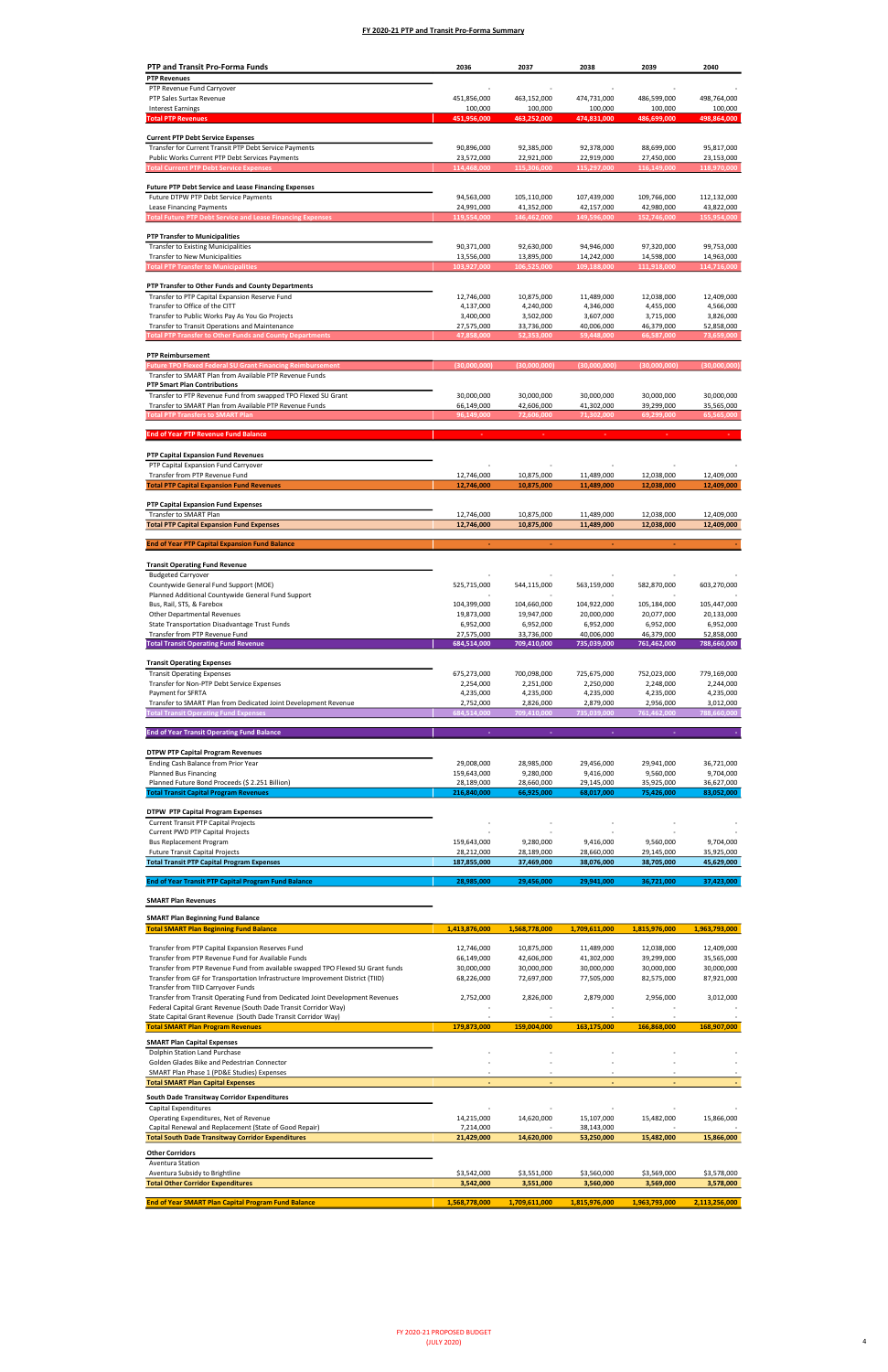Transfer from Transit Operating Fund from Dedicated Joint Development Revenues

| <b>PTP and Transit Pro-Forma Funds</b>                                                                                   | 2036                      | 2037                      | 2038                      | 2039                      | 2040                      |
|--------------------------------------------------------------------------------------------------------------------------|---------------------------|---------------------------|---------------------------|---------------------------|---------------------------|
| <b>PTP Revenues</b>                                                                                                      |                           |                           |                           |                           |                           |
| PTP Revenue Fund Carryover                                                                                               |                           |                           |                           |                           |                           |
| PTP Sales Surtax Revenue<br><b>Interest Earnings</b>                                                                     | 451,856,000<br>100,000    | 463,152,000<br>100,000    | 474,731,000<br>100,000    | 486,599,000<br>100,000    | 498,764,000<br>100,000    |
| <b>Total PTP Revenues</b>                                                                                                | 451,956,000               | 463,252,000               | 474,831,000               | 486,699,000               | 498,864,000               |
|                                                                                                                          |                           |                           |                           |                           |                           |
| <b>Current PTP Debt Service Expenses</b>                                                                                 |                           |                           |                           |                           |                           |
| Transfer for Current Transit PTP Debt Service Payments<br>Public Works Current PTP Debt Services Payments                | 90,896,000<br>23,572,000  | 92,385,000<br>22,921,000  | 92,378,000<br>22,919,000  | 88,699,000<br>27,450,000  | 95,817,000<br>23,153,000  |
| <b>Total Current PTP Debt Service Expenses</b>                                                                           | 114,468,000               | 115,306,000               | 115,297,000               | 116,149,000               | 118,970,000               |
|                                                                                                                          |                           |                           |                           |                           |                           |
| <b>Future PTP Debt Service and Lease Financing Expenses</b>                                                              |                           |                           |                           |                           |                           |
| Future DTPW PTP Debt Service Payments<br>Lease Financing Payments                                                        | 94,563,000<br>24,991,000  | 105,110,000<br>41,352,000 | 107,439,000<br>42,157,000 | 109,766,000<br>42,980,000 | 112,132,000<br>43,822,000 |
| <b>Total Future PTP Debt Service and Lease Financing Expenses</b>                                                        | 119,554,000               | 146,462,000               | 149,596,000               | 152,746,000               | 155,954,000               |
|                                                                                                                          |                           |                           |                           |                           |                           |
| <b>PTP Transfer to Municipalities</b>                                                                                    |                           |                           |                           |                           |                           |
| <b>Transfer to Existing Municipalities</b><br><b>Transfer to New Municipalities</b>                                      | 90,371,000<br>13,556,000  | 92,630,000<br>13,895,000  | 94,946,000<br>14,242,000  | 97,320,000<br>14,598,000  | 99,753,000<br>14,963,000  |
| <b>Total PTP Transfer to Municipalities</b>                                                                              | 103,927,000               | 106,525,000               | 109,188,000               | 111,918,000               | 114,716,000               |
|                                                                                                                          |                           |                           |                           |                           |                           |
| PTP Transfer to Other Funds and County Departments                                                                       |                           |                           |                           |                           |                           |
| Transfer to PTP Capital Expansion Reserve Fund<br>Transfer to Office of the CITT                                         | 12,746,000<br>4,137,000   | 10,875,000<br>4,240,000   | 11,489,000<br>4,346,000   | 12,038,000<br>4,455,000   | 12,409,000<br>4,566,000   |
| Transfer to Public Works Pay As You Go Projects                                                                          | 3,400,000                 | 3,502,000                 | 3,607,000                 | 3,715,000                 | 3,826,000                 |
| Transfer to Transit Operations and Maintenance                                                                           | 27,575,000                | 33,736,000                | 40,006,000                | 46,379,000                | 52,858,000                |
| <b>Total PTP Transfer to Other Funds and County Departments</b>                                                          | 47,858,000                | 52,353,000                | 59,448,000                | 66,587,000                | 73,659,000                |
| <b>PTP Reimbursement</b>                                                                                                 |                           |                           |                           |                           |                           |
| <b>Future TPO Flexed Federal SU Grant Financing Reimbursement</b>                                                        | (30,000,000)              | (30,000,000)              | (30,000,000)              | (30,000,000)              | (30,000,000)              |
| Transfer to SMART Plan from Available PTP Revenue Funds                                                                  |                           |                           |                           |                           |                           |
| <b>PTP Smart Plan Contributions</b>                                                                                      |                           |                           |                           |                           |                           |
| Transfer to PTP Revenue Fund from swapped TPO Flexed SU Grant<br>Transfer to SMART Plan from Available PTP Revenue Funds | 30,000,000<br>66,149,000  | 30,000,000<br>42,606,000  | 30,000,000<br>41,302,000  | 30,000,000<br>39,299,000  | 30,000,000<br>35,565,000  |
| <b>Total PTP Transfers to SMART Plan</b>                                                                                 | 96,149,000                | 72,606,000                | 71,302,000                | 69,299,000                | 65,565,000                |
|                                                                                                                          |                           |                           |                           |                           |                           |
| <b>End of Year PTP Revenue Fund Balance</b>                                                                              |                           |                           |                           |                           |                           |
|                                                                                                                          |                           |                           |                           |                           |                           |
| PTP Capital Expansion Fund Revenues<br>PTP Capital Expansion Fund Carryover                                              |                           |                           |                           |                           |                           |
| Transfer from PTP Revenue Fund                                                                                           | 12,746,000                | 10,875,000                | 11,489,000                | 12,038,000                | 12,409,000                |
| <b>Total PTP Capital Expansion Fund Revenues</b>                                                                         | 12,746,000                | 10,875,000                | 11,489,000                | 12,038,000                | 12,409,000                |
| <b>PTP Capital Expansion Fund Expenses</b>                                                                               |                           |                           |                           |                           |                           |
| Transfer to SMART Plan                                                                                                   | 12,746,000                | 10,875,000                | 11,489,000                | 12,038,000                | 12,409,000                |
| <b>Total PTP Capital Expansion Fund Expenses</b>                                                                         | 12,746,000                | 10,875,000                | 11,489,000                | 12,038,000                | 12,409,000                |
|                                                                                                                          |                           |                           |                           |                           |                           |
| <b>End of Year PTP Capital Expansion Fund Balance</b>                                                                    |                           |                           |                           |                           |                           |
| <b>Transit Operating Fund Revenue</b>                                                                                    |                           |                           |                           |                           |                           |
| <b>Budgeted Carryover</b>                                                                                                |                           |                           |                           |                           |                           |
| Countywide General Fund Support (MOE)                                                                                    | 525,715,000               | 544,115,000               | 563,159,000               | 582,870,000               | 603,270,000               |
| Planned Additional Countywide General Fund Support<br>Bus, Rail, STS, & Farebox                                          | 104,399,000               | 104,660,000               | 104,922,000               | 105,184,000               | 105,447,000               |
| <b>Other Departmental Revenues</b>                                                                                       | 19,873,000                | 19,947,000                | 20,000,000                | 20,077,000                | 20,133,000                |
| State Transportation Disadvantage Trust Funds                                                                            | 6,952,000                 | 6,952,000                 | 6,952,000                 | 6,952,000                 | 6,952,000                 |
| Transfer from PTP Revenue Fund                                                                                           | 27,575,000                | 33,736,000                | 40,006,000                | 46,379,000                | 52,858,000                |
| <b>Total Transit Operating Fund Revenue</b>                                                                              | 684,514,000               | 709,410,000               | 735,039,000               | 761,462,000               | 788,660,000               |
| <b>Transit Operating Expenses</b>                                                                                        |                           |                           |                           |                           |                           |
| <b>Transit Operating Expenses</b>                                                                                        | 675,273,000               | 700,098,000               | 725,675,000               | 752,023,000               | 779,169,000               |
| Transfer for Non-PTP Debt Service Expenses                                                                               | 2,254,000                 | 2,251,000                 | 2,250,000                 | 2,248,000                 | 2,244,000                 |
| Payment for SFRTA<br>Transfer to SMART Plan from Dedicated Joint Development Revenue                                     | 4,235,000<br>2,752,000    | 4,235,000<br>2,826,000    | 4,235,000<br>2,879,000    | 4,235,000<br>2,956,000    | 4,235,000<br>3,012,000    |
| <b>Total Transit Operating Fund Expenses</b>                                                                             | 684,514,000               | 709,410,000               | 735,039,000               | 761,462,000               | 788,660,000               |
|                                                                                                                          |                           |                           |                           |                           |                           |
| <b>End of Year Transit Operating Fund Balance</b>                                                                        | ÷                         | ÷.                        | ÷                         |                           |                           |
| <b>DTPW PTP Capital Program Revenues</b>                                                                                 |                           |                           |                           |                           |                           |
| Ending Cash Balance from Prior Year                                                                                      | 29,008,000                | 28,985,000                | 29,456,000                | 29,941,000                | 36,721,000                |
| <b>Planned Bus Financing</b>                                                                                             | 159,643,000               | 9,280,000                 | 9,416,000                 | 9,560,000                 | 9,704,000                 |
| Planned Future Bond Proceeds (\$ 2.251 Billion)                                                                          | 28,189,000                | 28,660,000                | 29,145,000                | 35,925,000                | 36,627,000                |
| <b>Total Transit Capital Program Revenues</b>                                                                            | 216,840,000               | 66,925,000                | 68,017,000                | 75,426,000                | 83,052,000                |
| <b>DTPW PTP Capital Program Expenses</b>                                                                                 |                           |                           |                           |                           |                           |
| <b>Current Transit PTP Capital Projects</b>                                                                              |                           |                           |                           |                           |                           |
| Current PWD PTP Capital Projects                                                                                         |                           |                           |                           | 9,560,000                 | 9,704,000                 |
| <b>Bus Replacement Program</b><br><b>Future Transit Capital Projects</b>                                                 | 159,643,000<br>28,212,000 | 9,280,000<br>28,189,000   | 9,416,000<br>28,660,000   | 29,145,000                | 35,925,000                |
| <b>Total Transit PTP Capital Program Expenses</b>                                                                        | 187,855,000               | 37,469,000                | 38,076,000                | 38,705,000                | 45,629,000                |
|                                                                                                                          |                           |                           |                           |                           |                           |
| <b>End of Year Transit PTP Capital Program Fund Balance</b>                                                              | 28,985,000                | 29,456,000                | 29,941,000                | 36,721,000                | 37,423,000                |
| <b>SMART Plan Revenues</b>                                                                                               |                           |                           |                           |                           |                           |
|                                                                                                                          |                           |                           |                           |                           |                           |
| <b>SMART Plan Beginning Fund Balance</b><br><b>Total SMART Plan Beginning Fund Balance</b>                               |                           |                           |                           |                           |                           |
|                                                                                                                          | 1,413,876,000             | 1,568,778,000             | 1,709,611,000             | 1,815,976,000             | 1,963,793,000             |
| Transfer from PTP Capital Expansion Reserves Fund                                                                        | 12,746,000                | 10,875,000                | 11,489,000                | 12,038,000                | 12,409,000                |
| Transfer from PTP Revenue Fund for Available Funds                                                                       | 66,149,000                | 42,606,000                | 41,302,000                | 39,299,000                | 35,565,000                |
| Transfer from PTP Revenue Fund from available swapped TPO Flexed SU Grant funds                                          | 30,000,000                | 30,000,000<br>72,697,000  | 30,000,000<br>77,505,000  | 30,000,000                | 30,000,000                |
| Transfer from GF for Transportation Infrastructure Improvement District (TIID)<br>Transfer from TIID Carryover Funds     | 68,226,000                |                           |                           | 82,575,000                | 87,921,000                |

| Federal Capital Grant Revenue (South Dade Transit Corridor Way) |               |               |                          |                          |               |
|-----------------------------------------------------------------|---------------|---------------|--------------------------|--------------------------|---------------|
| State Capital Grant Revenue (South Dade Transit Corridor Way)   |               |               |                          |                          |               |
| <b>Total SMART Plan Program Revenues</b>                        | 179.873.000   | 159.004.000   | 163,175,000              | 166,868,000              | 168,907,000   |
| <b>SMART Plan Capital Expenses</b>                              |               |               |                          |                          |               |
| Dolphin Station Land Purchase                                   |               |               |                          |                          |               |
| Golden Glades Bike and Pedestrian Connector                     |               |               |                          |                          |               |
| SMART Plan Phase 1 (PD&E Studies) Expenses                      |               |               | ٠                        |                          |               |
| <b>Total SMART Plan Capital Expenses</b>                        |               | -             | $\overline{\phantom{a}}$ | $\overline{\phantom{a}}$ |               |
| South Dade Transitway Corridor Expenditures                     |               |               |                          |                          |               |
| Capital Expenditures                                            |               |               |                          |                          |               |
| Operating Expenditures, Net of Revenue                          | 14,215,000    | 14,620,000    | 15,107,000               | 15,482,000               | 15,866,000    |
| Capital Renewal and Replacement (State of Good Repair)          | 7,214,000     |               | 38,143,000               |                          |               |
| <b>Total South Dade Transitway Corridor Expenditures</b>        | 21,429,000    | 14,620,000    | 53,250,000               | 15,482,000               | 15,866,000    |
| <b>Other Corridors</b>                                          |               |               |                          |                          |               |
| Aventura Station                                                |               |               |                          |                          |               |
| Aventura Subsidy to Brightline                                  | \$3,542,000   | \$3,551,000   | \$3,560,000              | \$3,569,000              | \$3,578,000   |
| <b>Total Other Corridor Expenditures</b>                        | 3,542,000     | 3,551,000     | 3,560,000                | 3,569,000                | 3,578,000     |
| <b>End of Year SMART Plan Capital Program Fund Balance</b>      | 1,568,778,000 | 1,709,611,000 | 1,815,976,000            | 1,963,793,000            | 2,113,256,000 |

2,826,000 2,752,000 2,879,000 2,956,000 3,012,000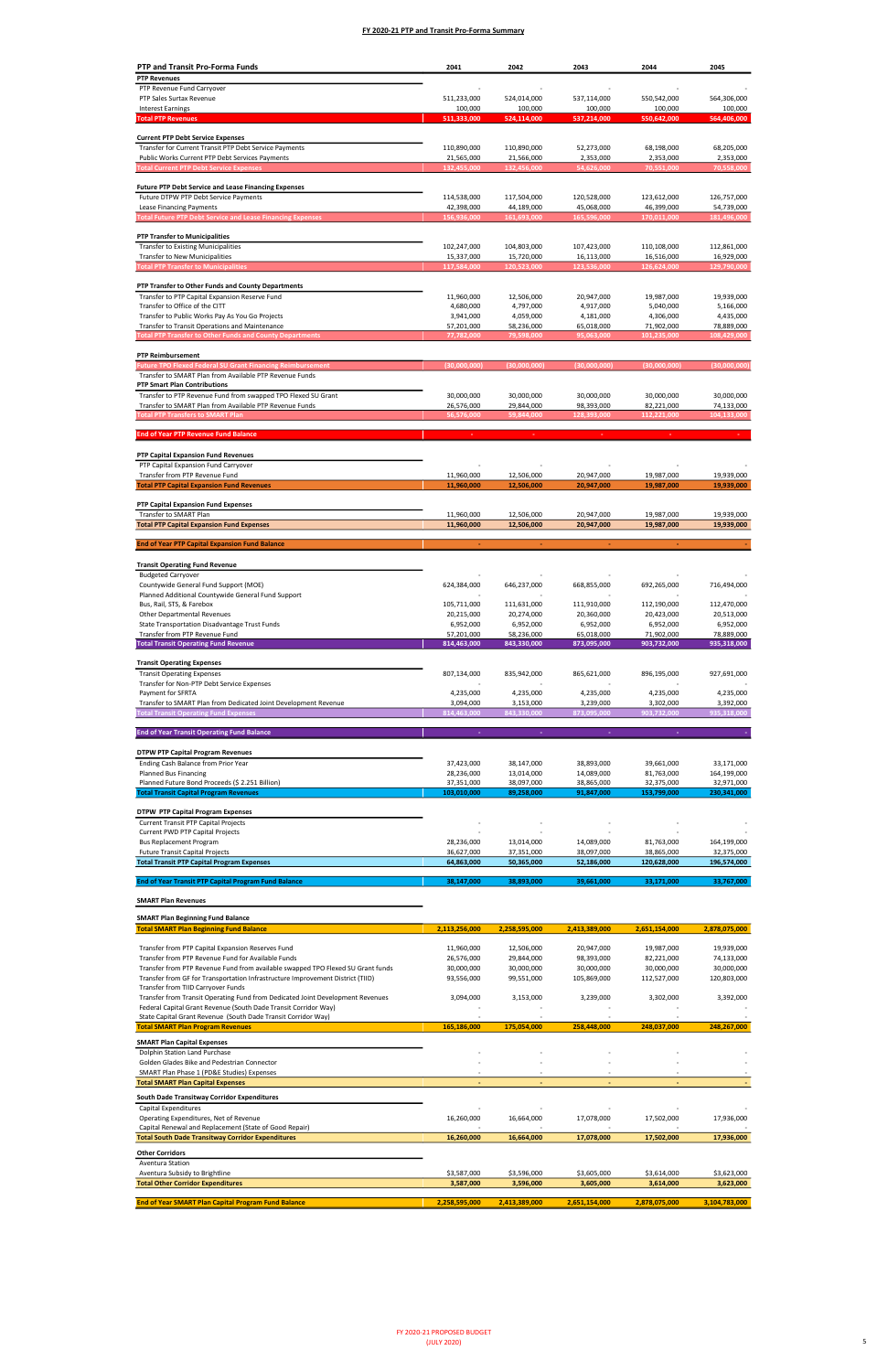Transfer from Transit Operating Fund from Dedicated Joint Development Revenues

| PTP and Transit Pro-Forma Funds                                                                                                       | 2041                      | 2042                      | 2043                      | 2044                      | 2045                      |
|---------------------------------------------------------------------------------------------------------------------------------------|---------------------------|---------------------------|---------------------------|---------------------------|---------------------------|
| <b>PTP Revenues</b>                                                                                                                   |                           |                           |                           |                           |                           |
| PTP Revenue Fund Carryover                                                                                                            |                           |                           |                           |                           |                           |
| PTP Sales Surtax Revenue<br><b>Interest Earnings</b>                                                                                  | 511,233,000<br>100,000    | 524,014,000<br>100,000    | 537,114,000<br>100,000    | 550,542,000<br>100,000    | 564,306,000<br>100,000    |
| <b>Total PTP Revenues</b>                                                                                                             | 511,333,000               | 524,114,000               | 537,214,000               | 550,642,000               | 564,406,000               |
|                                                                                                                                       |                           |                           |                           |                           |                           |
| <b>Current PTP Debt Service Expenses</b><br>Transfer for Current Transit PTP Debt Service Payments                                    | 110,890,000               | 110,890,000               | 52,273,000                | 68,198,000                | 68,205,000                |
| Public Works Current PTP Debt Services Payments                                                                                       | 21,565,000                | 21,566,000                | 2,353,000                 | 2,353,000                 | 2,353,000                 |
| <b>Total Current PTP Debt Service Expenses</b>                                                                                        | 132,455,000               | 132,456,000               | 54,626,000                | 70,551,000                | 70,558,000                |
|                                                                                                                                       |                           |                           |                           |                           |                           |
| <b>Future PTP Debt Service and Lease Financing Expenses</b><br>Future DTPW PTP Debt Service Payments                                  | 114,538,000               | 117,504,000               | 120,528,000               | 123,612,000               | 126,757,000               |
| Lease Financing Payments                                                                                                              | 42,398,000                | 44,189,000                | 45,068,000                | 46,399,000                | 54,739,000                |
| <b>Total Future PTP Debt Service and Lease Financing Expenses</b>                                                                     | 156,936,000               | 161,693,000               | 165,596,000               | 170,011,000               | 181,496,000               |
|                                                                                                                                       |                           |                           |                           |                           |                           |
| <b>PTP Transfer to Municipalities</b>                                                                                                 |                           |                           |                           |                           |                           |
| <b>Transfer to Existing Municipalities</b><br><b>Transfer to New Municipalities</b>                                                   | 102,247,000<br>15,337,000 | 104,803,000<br>15,720,000 | 107,423,000<br>16,113,000 | 110,108,000<br>16,516,000 | 112,861,000<br>16,929,000 |
| <b>Total PTP Transfer to Municipalities</b>                                                                                           | 117,584,000               | 120,523,000               | 123,536,000               | 126,624,000               | 129,790,000               |
|                                                                                                                                       |                           |                           |                           |                           |                           |
| PTP Transfer to Other Funds and County Departments                                                                                    |                           |                           |                           |                           |                           |
| Transfer to PTP Capital Expansion Reserve Fund<br>Transfer to Office of the CITT                                                      | 11,960,000<br>4,680,000   | 12,506,000<br>4,797,000   | 20,947,000<br>4,917,000   | 19,987,000<br>5,040,000   | 19,939,000<br>5,166,000   |
| Transfer to Public Works Pay As You Go Projects                                                                                       | 3,941,000                 | 4,059,000                 | 4,181,000                 | 4,306,000                 | 4,435,000                 |
| Transfer to Transit Operations and Maintenance                                                                                        | 57,201,000                | 58,236,000                | 65,018,000                | 71,902,000                | 78,889,000                |
| <b>Total PTP Transfer to Other Funds and County Departments</b>                                                                       | 77,782,000                | 79,598,000                | 95,063,000                | 101,235,000               | 108,429,000               |
| <b>PTP Reimbursement</b>                                                                                                              |                           |                           |                           |                           |                           |
| <b>Future TPO Flexed Federal SU Grant Financing Reimbursement</b>                                                                     | (30,000,000)              | (30,000,000)              | (30,000,000)              | (30,000,000)              | (30,000,000)              |
| Transfer to SMART Plan from Available PTP Revenue Funds                                                                               |                           |                           |                           |                           |                           |
| <b>PTP Smart Plan Contributions</b>                                                                                                   |                           |                           |                           |                           |                           |
| Transfer to PTP Revenue Fund from swapped TPO Flexed SU Grant<br>Transfer to SMART Plan from Available PTP Revenue Funds              | 30,000,000                | 30,000,000<br>29,844,000  | 30,000,000<br>98,393,000  | 30,000,000                | 30,000,000<br>74,133,000  |
| <b>Total PTP Transfers to SMART Plan</b>                                                                                              | 26,576,000<br>56,576,000  | 59,844,000                | 128,393,000               | 82,221,000<br>112,221,000 | 104,133,000               |
|                                                                                                                                       |                           |                           |                           |                           |                           |
| <b>End of Year PTP Revenue Fund Balance</b>                                                                                           |                           |                           |                           |                           |                           |
|                                                                                                                                       |                           |                           |                           |                           |                           |
| PTP Capital Expansion Fund Revenues<br>PTP Capital Expansion Fund Carryover                                                           |                           |                           |                           |                           |                           |
| Transfer from PTP Revenue Fund                                                                                                        | 11,960,000                | 12,506,000                | 20,947,000                | 19,987,000                | 19,939,000                |
| <b>Total PTP Capital Expansion Fund Revenues</b>                                                                                      | 11,960,000                | 12,506,000                | 20,947,000                | 19,987,000                | 19,939,000                |
|                                                                                                                                       |                           |                           |                           |                           |                           |
| PTP Capital Expansion Fund Expenses<br>Transfer to SMART Plan                                                                         | 11,960,000                | 12,506,000                | 20,947,000                | 19,987,000                | 19,939,000                |
| <b>Total PTP Capital Expansion Fund Expenses</b>                                                                                      | 11,960,000                | 12,506,000                | 20,947,000                | 19,987,000                | 19,939,000                |
|                                                                                                                                       |                           |                           |                           |                           |                           |
| <b>End of Year PTP Capital Expansion Fund Balance</b>                                                                                 |                           | ÷                         | ÷                         | ٠                         |                           |
| <b>Transit Operating Fund Revenue</b>                                                                                                 |                           |                           |                           |                           |                           |
| <b>Budgeted Carryover</b>                                                                                                             |                           |                           |                           |                           |                           |
| Countywide General Fund Support (MOE)                                                                                                 | 624,384,000               | 646,237,000               | 668,855,000               | 692,265,000               | 716,494,000               |
| Planned Additional Countywide General Fund Support                                                                                    |                           |                           |                           |                           |                           |
| Bus, Rail, STS, & Farebox<br>Other Departmental Revenues                                                                              | 105,711,000<br>20,215,000 | 111,631,000<br>20,274,000 | 111,910,000<br>20,360,000 | 112,190,000<br>20,423,000 | 112,470,000<br>20,513,000 |
| State Transportation Disadvantage Trust Funds                                                                                         | 6,952,000                 | 6,952,000                 | 6,952,000                 | 6,952,000                 | 6,952,000                 |
| Transfer from PTP Revenue Fund                                                                                                        | 57,201,000                | 58,236,000                | 65,018,000                | 71,902,000                | 78,889,000                |
| <b>Total Transit Operating Fund Revenue</b>                                                                                           | 814,463,000               | 843,330,000               | 873,095,000               | 903,732,000               | 935,318,000               |
| <b>Transit Operating Expenses</b>                                                                                                     |                           |                           |                           |                           |                           |
| <b>Transit Operating Expenses</b>                                                                                                     | 807,134,000               | 835,942,000               | 865,621,000               | 896,195,000               | 927,691,000               |
| Transfer for Non-PTP Debt Service Expenses                                                                                            |                           |                           |                           |                           |                           |
| Payment for SFRTA                                                                                                                     | 4,235,000                 | 4,235,000                 | 4,235,000                 | 4,235,000                 | 4,235,000                 |
| Transfer to SMART Plan from Dedicated Joint Development Revenue<br><b>Total Transit Operating Fund Expenses</b>                       | 3,094,000<br>814,463,000  | 3,153,000<br>843,330,000  | 3,239,000<br>873,095,000  | 3,302,000<br>903,732,000  | 3,392,000<br>935,318,000  |
|                                                                                                                                       |                           |                           |                           |                           |                           |
| <b>End of Year Transit Operating Fund Balance</b>                                                                                     | ×,                        | ä,                        | ÷,                        | ÷                         |                           |
|                                                                                                                                       |                           |                           |                           |                           |                           |
| <b>DTPW PTP Capital Program Revenues</b>                                                                                              |                           |                           |                           |                           |                           |
| Ending Cash Balance from Prior Year<br><b>Planned Bus Financing</b>                                                                   | 37,423,000<br>28,236,000  | 38,147,000<br>13,014,000  | 38,893,000<br>14,089,000  | 39,661,000<br>81,763,000  | 33,171,000<br>164,199,000 |
| Planned Future Bond Proceeds (\$ 2.251 Billion)                                                                                       | 37,351,000                | 38,097,000                | 38,865,000                | 32,375,000                | 32,971,000                |
| <b>Total Transit Capital Program Revenues</b>                                                                                         | 103,010,000               | 89,258,000                | 91,847,000                | 153,799,000               | 230,341,000               |
|                                                                                                                                       |                           |                           |                           |                           |                           |
| <b>DTPW PTP Capital Program Expenses</b><br><b>Current Transit PTP Capital Projects</b>                                               |                           |                           |                           |                           |                           |
| Current PWD PTP Capital Projects                                                                                                      |                           |                           |                           |                           |                           |
| <b>Bus Replacement Program</b>                                                                                                        | 28,236,000                | 13,014,000                | 14,089,000                | 81,763,000                | 164,199,000               |
| <b>Future Transit Capital Projects</b>                                                                                                | 36,627,000                | 37,351,000                | 38,097,000                | 38,865,000                | 32,375,000                |
| <b>Total Transit PTP Capital Program Expenses</b>                                                                                     | 64,863,000                | 50,365,000                | 52,186,000                | 120,628,000               | 196,574,000               |
| <b>End of Year Transit PTP Capital Program Fund Balance</b>                                                                           | 38,147,000                | 38,893,000                | 39,661,000                | 33,171,000                | 33,767,000                |
|                                                                                                                                       |                           |                           |                           |                           |                           |
| <b>SMART Plan Revenues</b>                                                                                                            |                           |                           |                           |                           |                           |
| <b>SMART Plan Beginning Fund Balance</b>                                                                                              |                           |                           |                           |                           |                           |
| <b>Total SMART Plan Beginning Fund Balance</b>                                                                                        | 2,113,256,000             | 2,258,595,000             | 2,413,389,000             | 2,651,154,000             | 2,878,075,000             |
|                                                                                                                                       |                           |                           |                           |                           |                           |
| Transfer from PTP Capital Expansion Reserves Fund                                                                                     | 11,960,000<br>26,576,000  | 12,506,000<br>29,844,000  | 20,947,000<br>98,393,000  | 19,987,000<br>82,221,000  | 19,939,000<br>74,133,000  |
| Transfer from PTP Revenue Fund for Available Funds<br>Transfer from PTP Revenue Fund from available swapped TPO Flexed SU Grant funds | 30,000,000                | 30,000,000                | 30,000,000                | 30,000,000                | 30,000,000                |
| Transfer from GF for Transportation Infrastructure Improvement District (TIID)                                                        | 93,556,000                | 99,551,000                | 105,869,000               | 112,527,000               | 120,803,000               |
| Transfer from TIID Carryover Funds                                                                                                    |                           |                           |                           |                           |                           |

| Federal Capital Grant Revenue (South Dade Transit Corridor Way) |               |                          |                          |               |               |
|-----------------------------------------------------------------|---------------|--------------------------|--------------------------|---------------|---------------|
| State Capital Grant Revenue (South Dade Transit Corridor Way)   |               |                          |                          |               |               |
| <b>Total SMART Plan Program Revenues</b>                        | 165,186,000   | 175,054,000              | 258,448,000              | 248,037,000   | 248,267,000   |
| <b>SMART Plan Capital Expenses</b>                              |               |                          |                          |               |               |
| Dolphin Station Land Purchase                                   |               |                          |                          |               |               |
| Golden Glades Bike and Pedestrian Connector                     |               |                          |                          |               |               |
| SMART Plan Phase 1 (PD&E Studies) Expenses                      |               |                          |                          |               |               |
| <b>Total SMART Plan Capital Expenses</b>                        |               | $\overline{\phantom{a}}$ | $\overline{\phantom{a}}$ |               |               |
| South Dade Transitway Corridor Expenditures                     |               |                          |                          |               |               |
| Capital Expenditures                                            |               |                          |                          |               |               |
| Operating Expenditures, Net of Revenue                          | 16,260,000    | 16,664,000               | 17,078,000               | 17,502,000    | 17,936,000    |
| Capital Renewal and Replacement (State of Good Repair)          |               |                          |                          |               |               |
| <b>Total South Dade Transitway Corridor Expenditures</b>        | 16,260,000    | 16,664,000               | 17,078,000               | 17,502,000    | 17,936,000    |
| <b>Other Corridors</b>                                          |               |                          |                          |               |               |
| Aventura Station                                                |               |                          |                          |               |               |
| Aventura Subsidy to Brightline                                  | \$3,587,000   | \$3,596,000              | \$3,605,000              | \$3,614,000   | \$3,623,000   |
| <b>Total Other Corridor Expenditures</b>                        | 3,587,000     | 3,596,000                | 3,605,000                | 3,614,000     | 3,623,000     |
|                                                                 |               |                          |                          |               |               |
| <b>End of Year SMART Plan Capital Program Fund Balance</b>      | 2,258,595,000 | 2,413,389,000            | 2,651,154,000            | 2,878,075,000 | 3,104,783,000 |

3,153,000 3,094,000 3,239,000 3,302,000 3,392,000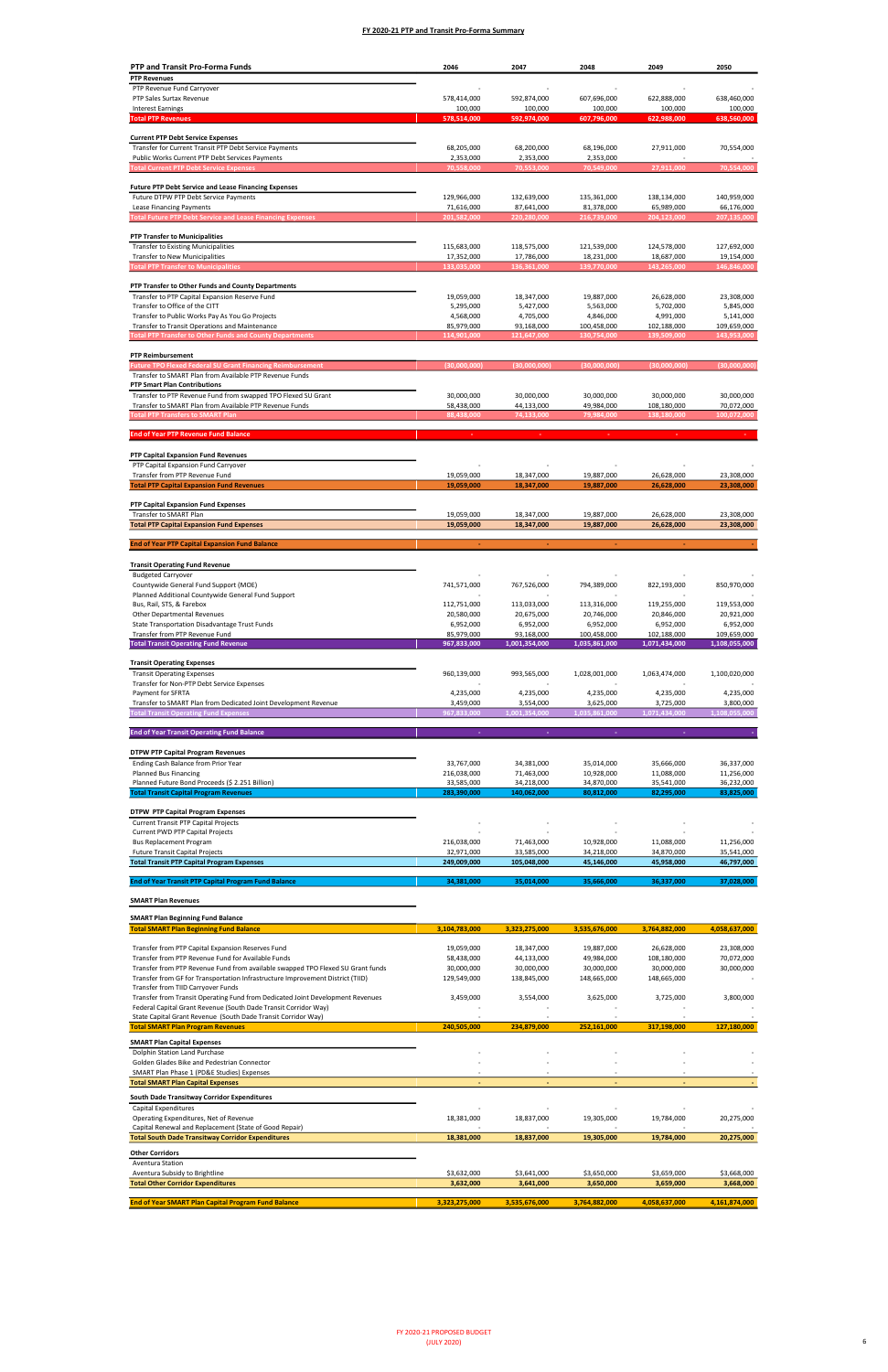Transfer from Transit Operating Fund from Dedicated Joint Development Revenues

| PTP and Transit Pro-Forma Funds                                                                                                                                   | 2046                      | 2047                      | 2048                      | 2049                      | 2050                     |
|-------------------------------------------------------------------------------------------------------------------------------------------------------------------|---------------------------|---------------------------|---------------------------|---------------------------|--------------------------|
| <b>PTP Revenues</b>                                                                                                                                               |                           |                           |                           |                           |                          |
| PTP Revenue Fund Carryover                                                                                                                                        |                           |                           |                           |                           |                          |
| PTP Sales Surtax Revenue                                                                                                                                          | 578,414,000               | 592,874,000               | 607,696,000               | 622,888,000               | 638,460,000              |
| <b>Interest Earnings</b><br><b>Total PTP Revenues</b>                                                                                                             | 100,000<br>578,514,000    | 100,000<br>592,974,000    | 100,000<br>607,796,000    | 100,000<br>622,988,000    | 100,000<br>638,560,000   |
|                                                                                                                                                                   |                           |                           |                           |                           |                          |
| <b>Current PTP Debt Service Expenses</b>                                                                                                                          |                           |                           |                           |                           |                          |
| Transfer for Current Transit PTP Debt Service Payments                                                                                                            | 68,205,000                | 68,200,000                | 68,196,000                | 27,911,000                | 70,554,000               |
| Public Works Current PTP Debt Services Payments                                                                                                                   | 2,353,000                 | 2,353,000                 | 2,353,000                 | 27,911,000                | 70,554,000               |
| <b>Total Current PTP Debt Service Expenses</b>                                                                                                                    | 70,558,000                | 70,553,000                | 70,549,000                |                           |                          |
| <b>Future PTP Debt Service and Lease Financing Expenses</b>                                                                                                       |                           |                           |                           |                           |                          |
| Future DTPW PTP Debt Service Payments                                                                                                                             | 129,966,000               | 132,639,000               | 135,361,000               | 138,134,000               | 140,959,000              |
| Lease Financing Payments                                                                                                                                          | 71,616,000                | 87,641,000                | 81,378,000                | 65,989,000                | 66,176,000               |
| <b>Total Future PTP Debt Service and Lease Financing Expenses</b>                                                                                                 | 201,582,000               | 220,280,000               | 216,739,000               | 204,123,000               | 207,135,000              |
| <b>PTP Transfer to Municipalities</b>                                                                                                                             |                           |                           |                           |                           |                          |
| <b>Transfer to Existing Municipalities</b>                                                                                                                        | 115,683,000               | 118,575,000               | 121,539,000               | 124,578,000               | 127,692,000              |
| Transfer to New Municipalities                                                                                                                                    | 17,352,000                | 17,786,000                | 18,231,000                | 18,687,000                | 19,154,000               |
| <b>Total PTP Transfer to Municipalities</b>                                                                                                                       | 133,035,000               | 136,361,000               | 139,770,000               | 143,265,000               | 146,846,000              |
|                                                                                                                                                                   |                           |                           |                           |                           |                          |
| PTP Transfer to Other Funds and County Departments<br>Transfer to PTP Capital Expansion Reserve Fund                                                              | 19,059,000                | 18,347,000                | 19,887,000                | 26,628,000                | 23,308,000               |
| Transfer to Office of the CITT                                                                                                                                    | 5,295,000                 | 5,427,000                 | 5,563,000                 | 5,702,000                 | 5,845,000                |
| Transfer to Public Works Pay As You Go Projects                                                                                                                   | 4,568,000                 | 4,705,000                 | 4,846,000                 | 4,991,000                 | 5,141,000                |
| Transfer to Transit Operations and Maintenance                                                                                                                    | 85,979,000                | 93,168,000                | 100,458,000               | 102,188,000               | 109,659,000              |
| <b>Total PTP Transfer to Other Funds and County Departments</b>                                                                                                   | 114,901,000               | 121,647,000               | 130,754,000               | 139,509,000               | 143,953,000              |
| <b>PTP Reimbursement</b>                                                                                                                                          |                           |                           |                           |                           |                          |
| <b>Future TPO Flexed Federal SU Grant Financing Reimbursement</b>                                                                                                 | (30,000,000)              | (30,000,000)              | (30,000,000)              | (30,000,000)              | (30,000,000)             |
| Transfer to SMART Plan from Available PTP Revenue Funds                                                                                                           |                           |                           |                           |                           |                          |
| <b>PTP Smart Plan Contributions</b>                                                                                                                               |                           |                           |                           |                           |                          |
| Transfer to PTP Revenue Fund from swapped TPO Flexed SU Grant                                                                                                     | 30,000,000                | 30,000,000                | 30,000,000                | 30,000,000                | 30,000,000               |
| Transfer to SMART Plan from Available PTP Revenue Funds                                                                                                           | 58,438,000                | 44,133,000                | 49,984,000                | 108,180,000               | 70,072,000               |
| <b>Total PTP Transfers to SMART Plan</b>                                                                                                                          | 88,438,000                | 74,133,000                | 79,984,000                | 138,180,000               | 100,072,000              |
| <b>End of Year PTP Revenue Fund Balance</b>                                                                                                                       |                           |                           |                           |                           |                          |
|                                                                                                                                                                   |                           |                           |                           |                           |                          |
| PTP Capital Expansion Fund Revenues                                                                                                                               |                           |                           |                           |                           |                          |
| PTP Capital Expansion Fund Carryover                                                                                                                              |                           |                           |                           |                           |                          |
| Transfer from PTP Revenue Fund                                                                                                                                    | 19,059,000                | 18,347,000                | 19,887,000                | 26,628,000                | 23,308,000               |
| <b>Total PTP Capital Expansion Fund Revenues</b>                                                                                                                  | 19,059,000                | 18,347,000                | 19,887,000                | 26,628,000                | 23,308,000               |
| PTP Capital Expansion Fund Expenses                                                                                                                               |                           |                           |                           |                           |                          |
| Transfer to SMART Plan                                                                                                                                            | 19,059,000                | 18,347,000                | 19,887,000                | 26,628,000                | 23,308,000               |
|                                                                                                                                                                   |                           |                           |                           |                           |                          |
| <b>Total PTP Capital Expansion Fund Expenses</b>                                                                                                                  | 19,059,000                | 18,347,000                | 19,887,000                | 26,628,000                | 23,308,000               |
|                                                                                                                                                                   |                           |                           |                           |                           |                          |
| <b>End of Year PTP Capital Expansion Fund Balance</b>                                                                                                             |                           |                           |                           |                           |                          |
| <b>Transit Operating Fund Revenue</b>                                                                                                                             |                           |                           |                           |                           |                          |
| <b>Budgeted Carryover</b>                                                                                                                                         |                           |                           |                           |                           |                          |
| Countywide General Fund Support (MOE)                                                                                                                             | 741,571,000               | 767,526,000               | 794,389,000               | 822,193,000               | 850,970,000              |
| Planned Additional Countywide General Fund Support                                                                                                                |                           |                           |                           |                           |                          |
| Bus, Rail, STS, & Farebox                                                                                                                                         | 112,751,000               | 113,033,000               | 113,316,000               | 119,255,000               | 119,553,000              |
| <b>Other Departmental Revenues</b><br>State Transportation Disadvantage Trust Funds                                                                               | 20,580,000<br>6,952,000   | 20,675,000<br>6,952,000   | 20,746,000<br>6,952,000   | 20,846,000<br>6,952,000   | 20,921,000<br>6,952,000  |
| Transfer from PTP Revenue Fund                                                                                                                                    | 85,979,000                | 93,168,000                | 100,458,000               | 102,188,000               | 109,659,000              |
| <b>Total Transit Operating Fund Revenue</b>                                                                                                                       | 967,833,000               | 1,001,354,000             | 1,035,861,000             | 1,071,434,000             | 1,108,055,000            |
|                                                                                                                                                                   |                           |                           |                           |                           |                          |
| <b>Transit Operating Expenses</b>                                                                                                                                 |                           |                           |                           |                           |                          |
| <b>Transit Operating Expenses</b><br>Transfer for Non-PTP Debt Service Expenses                                                                                   | 960,139,000               | 993,565,000               | 1,028,001,000             | 1,063,474,000             | 1,100,020,000            |
| Payment for SFRTA                                                                                                                                                 | 4,235,000                 | 4,235,000                 | 4,235,000                 | 4,235,000                 | 4,235,000                |
| Transfer to SMART Plan from Dedicated Joint Development Revenue                                                                                                   | 3,459,000                 | 3,554,000                 | 3,625,000                 | 3,725,000                 | 3,800,000                |
| <b>Total Transit Operating Fund Expenses</b>                                                                                                                      | 967,833,000               | 1,001,354,000             | 1,035,861,000             | 1,071,434,000             | 1,108,055,000            |
| <b>End of Year Transit Operating Fund Balance</b>                                                                                                                 |                           |                           |                           |                           |                          |
|                                                                                                                                                                   |                           |                           |                           |                           |                          |
| <b>DTPW PTP Capital Program Revenues</b>                                                                                                                          |                           |                           |                           |                           |                          |
| Ending Cash Balance from Prior Year                                                                                                                               | 33,767,000                | 34,381,000                | 35,014,000                | 35,666,000                | 36,337,000               |
| Planned Bus Financing                                                                                                                                             | 216,038,000               | 71,463,000                | 10,928,000                | 11,088,000                | 11,256,000               |
| Planned Future Bond Proceeds (\$ 2.251 Billion)                                                                                                                   | 33,585,000                | 34,218,000                | 34,870,000                | 35,541,000                | 36,232,000               |
| <b>Total Transit Capital Program Revenues</b>                                                                                                                     | 283,390,000               | 140,062,000               | 80,812,000                | 82,295,000                | 83,825,000               |
| <b>DTPW PTP Capital Program Expenses</b>                                                                                                                          |                           |                           |                           |                           |                          |
| <b>Current Transit PTP Capital Projects</b>                                                                                                                       |                           |                           |                           |                           |                          |
| Current PWD PTP Capital Projects                                                                                                                                  |                           |                           |                           |                           |                          |
| <b>Bus Replacement Program</b>                                                                                                                                    | 216,038,000               | 71,463,000                | 10,928,000                | 11,088,000                | 11,256,000               |
| <b>Future Transit Capital Projects</b><br><b>Total Transit PTP Capital Program Expenses</b>                                                                       | 32,971,000<br>249,009,000 | 33,585,000<br>105,048,000 | 34,218,000<br>45,146,000  | 34,870,000<br>45,958,000  | 35,541,000<br>46,797,000 |
|                                                                                                                                                                   |                           |                           |                           |                           |                          |
| <b>End of Year Transit PTP Capital Program Fund Balance</b>                                                                                                       | 34,381,000                | 35,014,000                | 35,666,000                | 36,337,000                | 37,028,000               |
| <b>SMART Plan Revenues</b>                                                                                                                                        |                           |                           |                           |                           |                          |
|                                                                                                                                                                   |                           |                           |                           |                           |                          |
| <b>SMART Plan Beginning Fund Balance</b>                                                                                                                          |                           |                           |                           |                           |                          |
| <b>Total SMART Plan Beginning Fund Balance</b>                                                                                                                    | 3,104,783,000             | 3,323,275,000             | 3,535,676,000             | 3,764,882,000             | 4,058,637,000            |
|                                                                                                                                                                   |                           |                           |                           |                           |                          |
| Transfer from PTP Capital Expansion Reserves Fund<br>Transfer from PTP Revenue Fund for Available Funds                                                           | 19,059,000<br>58,438,000  | 18,347,000<br>44,133,000  | 19,887,000<br>49,984,000  | 26,628,000<br>108,180,000 | 23,308,000<br>70,072,000 |
| Transfer from PTP Revenue Fund from available swapped TPO Flexed SU Grant funds<br>Transfer from GF for Transportation Infrastructure Improvement District (TIID) | 30,000,000<br>129,549,000 | 30,000,000<br>138,845,000 | 30,000,000<br>148,665,000 | 30,000,000<br>148,665,000 | 30,000,000               |

| Federal Capital Grant Revenue (South Dade Transit Corridor Way) |               |                          |               |               |               |
|-----------------------------------------------------------------|---------------|--------------------------|---------------|---------------|---------------|
| State Capital Grant Revenue (South Dade Transit Corridor Way)   |               |                          |               |               |               |
| <b>Total SMART Plan Program Revenues</b>                        | 240,505,000   | 234,879,000              | 252,161,000   | 317,198,000   | 127,180,000   |
| <b>SMART Plan Capital Expenses</b>                              |               |                          |               |               |               |
| Dolphin Station Land Purchase                                   |               |                          |               |               |               |
| Golden Glades Bike and Pedestrian Connector                     |               |                          |               |               |               |
| SMART Plan Phase 1 (PD&E Studies) Expenses                      |               |                          |               |               |               |
| <b>Total SMART Plan Capital Expenses</b>                        |               | $\overline{\phantom{a}}$ |               | $\sim$        |               |
| South Dade Transitway Corridor Expenditures                     |               |                          |               |               |               |
| Capital Expenditures                                            |               |                          |               |               |               |
| Operating Expenditures, Net of Revenue                          | 18,381,000    | 18,837,000               | 19,305,000    | 19,784,000    | 20,275,000    |
| Capital Renewal and Replacement (State of Good Repair)          |               |                          |               |               |               |
| <b>Total South Dade Transitway Corridor Expenditures</b>        | 18,381,000    | 18,837,000               | 19,305,000    | 19,784,000    | 20,275,000    |
| <b>Other Corridors</b>                                          |               |                          |               |               |               |
| Aventura Station                                                |               |                          |               |               |               |
| Aventura Subsidy to Brightline                                  | \$3,632,000   | \$3,641,000              | \$3,650,000   | \$3,659,000   | \$3,668,000   |
| <b>Total Other Corridor Expenditures</b>                        | 3,632,000     | 3,641,000                | 3,650,000     | 3,659,000     | 3,668,000     |
|                                                                 |               |                          |               |               |               |
| <b>End of Year SMART Plan Capital Program Fund Balance</b>      | 3,323,275,000 | 3,535,676,000            | 3,764,882,000 | 4,058,637,000 | 4,161,874,000 |

3,554,000 3,459,000 3,625,000 3,725,000 3,800,000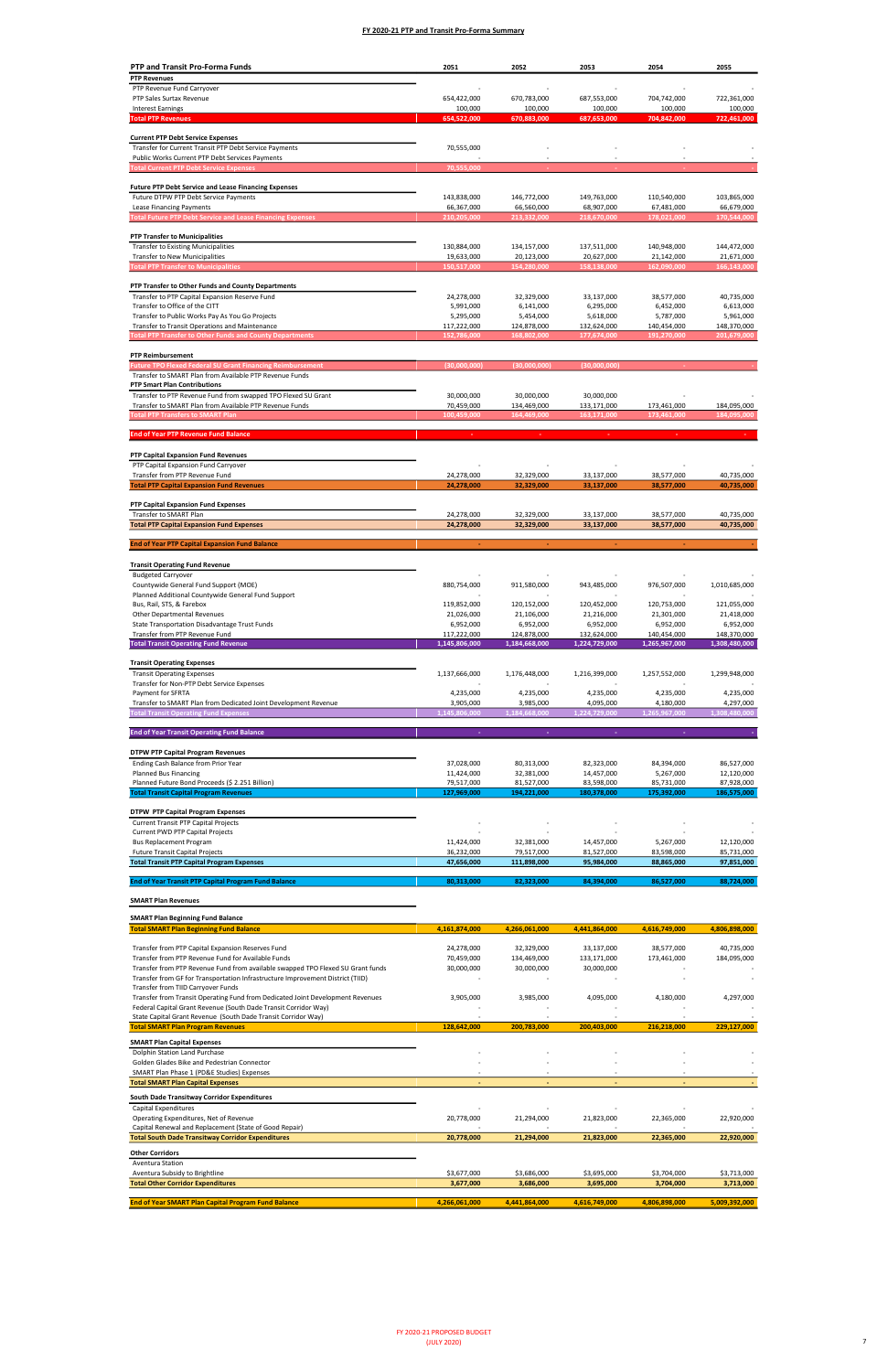Transfer from Transit Operating Fund from Dedicated Joint Development Revenues

| PTP and Transit Pro-Forma Funds                                                                                                       | 2051                      | 2052                      | 2053                      | 2054                      | 2055                      |
|---------------------------------------------------------------------------------------------------------------------------------------|---------------------------|---------------------------|---------------------------|---------------------------|---------------------------|
| <b>PTP Revenues</b>                                                                                                                   |                           |                           |                           |                           |                           |
| PTP Revenue Fund Carryover                                                                                                            |                           |                           |                           |                           |                           |
| PTP Sales Surtax Revenue                                                                                                              | 654,422,000               | 670,783,000               | 687,553,000               | 704,742,000               | 722,361,000               |
| <b>Interest Earnings</b>                                                                                                              | 100,000                   | 100,000                   | 100,000                   | 100,000                   | 100,000                   |
| <b>Total PTP Revenues</b>                                                                                                             | 654,522,000               | 670,883,000               | 687,653,000               | 704,842,000               | 722,461,000               |
| <b>Current PTP Debt Service Expenses</b>                                                                                              |                           |                           |                           |                           |                           |
| Transfer for Current Transit PTP Debt Service Payments                                                                                | 70,555,000                |                           |                           |                           |                           |
| Public Works Current PTP Debt Services Payments                                                                                       |                           |                           |                           |                           |                           |
| <b>Total Current PTP Debt Service Expenses</b>                                                                                        | 70,555,000                |                           |                           |                           |                           |
| <b>Future PTP Debt Service and Lease Financing Expenses</b>                                                                           |                           |                           |                           |                           |                           |
| Future DTPW PTP Debt Service Payments                                                                                                 | 143,838,000               | 146,772,000               | 149,763,000               | 110,540,000               | 103,865,000               |
| Lease Financing Payments                                                                                                              | 66,367,000                | 66,560,000                | 68,907,000                | 67,481,000                | 66,679,000                |
| <b>Total Future PTP Debt Service and Lease Financing Expenses</b>                                                                     | 210,205,000               | 213,332,000               | 218,670,000               | 178,021,000               | 170,544,000               |
|                                                                                                                                       |                           |                           |                           |                           |                           |
| <b>PTP Transfer to Municipalities</b>                                                                                                 |                           |                           |                           |                           |                           |
| <b>Transfer to Existing Municipalities</b><br>Transfer to New Municipalities                                                          | 130,884,000<br>19,633,000 | 134,157,000<br>20,123,000 | 137,511,000<br>20,627,000 | 140,948,000<br>21,142,000 | 144,472,000<br>21,671,000 |
| <b>Total PTP Transfer to Municipalities</b>                                                                                           | 150,517,000               | 154,280,000               | 158,138,000               | 162,090,000               | 166,143,000               |
|                                                                                                                                       |                           |                           |                           |                           |                           |
| PTP Transfer to Other Funds and County Departments                                                                                    |                           |                           |                           |                           |                           |
| Transfer to PTP Capital Expansion Reserve Fund                                                                                        | 24,278,000                | 32,329,000                | 33,137,000                | 38,577,000                | 40,735,000                |
| Transfer to Office of the CITT<br>Transfer to Public Works Pay As You Go Projects                                                     | 5,991,000<br>5,295,000    | 6,141,000<br>5,454,000    | 6,295,000<br>5,618,000    | 6,452,000<br>5,787,000    | 6,613,000<br>5,961,000    |
| Transfer to Transit Operations and Maintenance                                                                                        | 117,222,000               | 124,878,000               | 132,624,000               | 140,454,000               | 148,370,000               |
| <b>Total PTP Transfer to Other Funds and County Departments</b>                                                                       | 152,786,000               | 168,802,000               | 177,674,000               | 191,270,000               | 201,679,000               |
|                                                                                                                                       |                           |                           |                           |                           |                           |
| <b>PTP Reimbursement</b>                                                                                                              |                           | (30,000,000)              |                           |                           |                           |
| <b>Future TPO Flexed Federal SU Grant Financing Reimbursement</b><br>Transfer to SMART Plan from Available PTP Revenue Funds          | (30,000,000)              |                           | (30,000,000)              |                           |                           |
| <b>PTP Smart Plan Contributions</b>                                                                                                   |                           |                           |                           |                           |                           |
| Transfer to PTP Revenue Fund from swapped TPO Flexed SU Grant                                                                         | 30,000,000                | 30,000,000                | 30,000,000                |                           |                           |
| Transfer to SMART Plan from Available PTP Revenue Funds                                                                               | 70,459,000                | 134,469,000               | 133,171,000               | 173,461,000               | 184,095,000               |
| <b>Total PTP Transfers to SMART Plan</b>                                                                                              | 100,459,000               | 164,469,000               | 163,171,000               | 173,461,000               | 184,095,000               |
| <b>End of Year PTP Revenue Fund Balance</b>                                                                                           |                           |                           |                           |                           |                           |
|                                                                                                                                       |                           |                           |                           |                           |                           |
| PTP Capital Expansion Fund Revenues                                                                                                   |                           |                           |                           |                           |                           |
| PTP Capital Expansion Fund Carryover                                                                                                  |                           |                           |                           |                           |                           |
| Transfer from PTP Revenue Fund<br><b>Total PTP Capital Expansion Fund Revenues</b>                                                    | 24,278,000<br>24,278,000  | 32,329,000<br>32,329,000  | 33,137,000<br>33,137,000  | 38,577,000<br>38,577,000  | 40,735,000<br>40,735,000  |
|                                                                                                                                       |                           |                           |                           |                           |                           |
| PTP Capital Expansion Fund Expenses                                                                                                   |                           |                           |                           |                           |                           |
| Transfer to SMART Plan<br><b>Total PTP Capital Expansion Fund Expenses</b>                                                            | 24,278,000<br>24,278,000  | 32,329,000<br>32,329,000  | 33,137,000<br>33,137,000  | 38,577,000<br>38,577,000  | 40,735,000<br>40,735,000  |
|                                                                                                                                       |                           |                           |                           |                           |                           |
| <b>End of Year PTP Capital Expansion Fund Balance</b>                                                                                 |                           |                           |                           |                           |                           |
|                                                                                                                                       |                           |                           |                           |                           |                           |
| <b>Transit Operating Fund Revenue</b><br><b>Budgeted Carryover</b>                                                                    |                           |                           |                           |                           |                           |
| Countywide General Fund Support (MOE)                                                                                                 | 880,754,000               | 911,580,000               | 943,485,000               | 976,507,000               | 1,010,685,000             |
| Planned Additional Countywide General Fund Support                                                                                    |                           |                           |                           |                           |                           |
| Bus, Rail, STS, & Farebox                                                                                                             | 119,852,000               | 120,152,000               | 120,452,000               | 120,753,000               | 121,055,000               |
| <b>Other Departmental Revenues</b>                                                                                                    | 21,026,000                | 21,106,000                | 21,216,000                | 21,301,000                | 21,418,000                |
| State Transportation Disadvantage Trust Funds<br>Transfer from PTP Revenue Fund                                                       | 6,952,000<br>117,222,000  | 6,952,000<br>124,878,000  | 6,952,000<br>132,624,000  | 6,952,000<br>140,454,000  | 6,952,000<br>148,370,000  |
| <b>Total Transit Operating Fund Revenue</b>                                                                                           | 1,145,806,000             | 1,184,668,000             | 1,224,729,000             | 1,265,967,000             | 1,308,480,000             |
|                                                                                                                                       |                           |                           |                           |                           |                           |
| <b>Transit Operating Expenses</b>                                                                                                     |                           |                           |                           |                           |                           |
| <b>Transit Operating Expenses</b><br>Transfer for Non-PTP Debt Service Expenses                                                       | 1,137,666,000             | 1,176,448,000             | 1,216,399,000             | 1,257,552,000             | 1,299,948,000             |
| Payment for SFRTA                                                                                                                     | 4,235,000                 | 4,235,000                 | 4,235,000                 | 4,235,000                 | 4,235,000                 |
| Transfer to SMART Plan from Dedicated Joint Development Revenue                                                                       | 3,905,000                 | 3,985,000                 | 4,095,000                 | 4,180,000                 | 4,297,000                 |
| <b>Total Transit Operating Fund Expenses</b>                                                                                          | 1,145,806,000             | 1,184,668,000             | 1,224,729,000             | 1,265,967,000             | 1,308,480,000             |
| <b>End of Year Transit Operating Fund Balance</b>                                                                                     |                           |                           |                           |                           |                           |
|                                                                                                                                       |                           |                           |                           |                           |                           |
| <b>DTPW PTP Capital Program Revenues</b>                                                                                              |                           |                           |                           |                           |                           |
| Ending Cash Balance from Prior Year                                                                                                   | 37,028,000                | 80,313,000                | 82,323,000                | 84,394,000                | 86,527,000                |
| Planned Bus Financing                                                                                                                 | 11,424,000                | 32,381,000                | 14,457,000                | 5,267,000                 | 12,120,000                |
| Planned Future Bond Proceeds (\$ 2.251 Billion)<br><b>Total Transit Capital Program Revenues</b>                                      | 79,517,000<br>127,969,000 | 81,527,000<br>194,221,000 | 83,598,000<br>180,378,000 | 85,731,000<br>175,392,000 | 87,928,000<br>186,575,000 |
|                                                                                                                                       |                           |                           |                           |                           |                           |
| <b>DTPW PTP Capital Program Expenses</b>                                                                                              |                           |                           |                           |                           |                           |
| <b>Current Transit PTP Capital Projects</b>                                                                                           |                           |                           |                           |                           |                           |
| Current PWD PTP Capital Projects<br><b>Bus Replacement Program</b>                                                                    | 11,424,000                | 32,381,000                | 14,457,000                | 5,267,000                 | 12,120,000                |
| <b>Future Transit Capital Projects</b>                                                                                                | 36,232,000                | 79,517,000                | 81,527,000                | 83,598,000                | 85,731,000                |
| <b>Total Transit PTP Capital Program Expenses</b>                                                                                     | 47,656,000                | 111,898,000               | 95,984,000                | 88,865,000                | 97,851,000                |
| <b>End of Year Transit PTP Capital Program Fund Balance</b>                                                                           | 80,313,000                | 82,323,000                | 84,394,000                | 86,527,000                | 88,724,000                |
|                                                                                                                                       |                           |                           |                           |                           |                           |
| <b>SMART Plan Revenues</b>                                                                                                            |                           |                           |                           |                           |                           |
| <b>SMART Plan Beginning Fund Balance</b>                                                                                              |                           |                           |                           |                           |                           |
| <b>Total SMART Plan Beginning Fund Balance</b>                                                                                        | 4,161,874,000             | 4,266,061,000             | 4,441,864,000             | 4,616,749,000             | 4,806,898,000             |
|                                                                                                                                       |                           |                           |                           |                           |                           |
| Transfer from PTP Capital Expansion Reserves Fund                                                                                     | 24,278,000                | 32,329,000                | 33,137,000                | 38,577,000                | 40,735,000                |
| Transfer from PTP Revenue Fund for Available Funds<br>Transfer from PTP Revenue Fund from available swapped TPO Flexed SU Grant funds | 70,459,000<br>30,000,000  | 134,469,000<br>30,000,000 | 133,171,000<br>30,000,000 | 173,461,000               | 184,095,000               |
| Transfer from GF for Transportation Infrastructure Improvement District (TIID)                                                        |                           |                           |                           |                           |                           |
| Transfer from TIID Carryover Funds                                                                                                    |                           |                           |                           |                           |                           |

| Federal Capital Grant Revenue (South Dade Transit Corridor Way) |               |               |               |               |               |
|-----------------------------------------------------------------|---------------|---------------|---------------|---------------|---------------|
| State Capital Grant Revenue (South Dade Transit Corridor Way)   |               |               |               |               |               |
| <b>Total SMART Plan Program Revenues</b>                        | 128,642,000   | 200,783,000   | 200,403,000   | 216,218,000   | 229,127,000   |
| <b>SMART Plan Capital Expenses</b>                              |               |               |               |               |               |
| Dolphin Station Land Purchase                                   |               |               |               |               |               |
| Golden Glades Bike and Pedestrian Connector                     |               |               |               |               |               |
| SMART Plan Phase 1 (PD&E Studies) Expenses                      |               |               |               |               |               |
| <b>Total SMART Plan Capital Expenses</b>                        |               |               |               |               |               |
| South Dade Transitway Corridor Expenditures                     |               |               |               |               |               |
| Capital Expenditures                                            |               |               |               |               |               |
| Operating Expenditures, Net of Revenue                          | 20,778,000    | 21,294,000    | 21,823,000    | 22,365,000    | 22,920,000    |
| Capital Renewal and Replacement (State of Good Repair)          |               |               |               |               |               |
| <b>Total South Dade Transitway Corridor Expenditures</b>        | 20,778,000    | 21,294,000    | 21,823,000    | 22,365,000    | 22,920,000    |
| <b>Other Corridors</b>                                          |               |               |               |               |               |
| <b>Aventura Station</b>                                         |               |               |               |               |               |
| Aventura Subsidy to Brightline                                  | \$3,677,000   | \$3,686,000   | \$3,695,000   | \$3,704,000   | \$3,713,000   |
| <b>Total Other Corridor Expenditures</b>                        | 3,677,000     | 3,686,000     | 3,695,000     | 3,704,000     | 3,713,000     |
| <b>End of Year SMART Plan Capital Program Fund Balance</b>      | 4,266,061,000 | 4,441,864,000 | 4,616,749,000 | 4,806,898,000 | 5,009,392,000 |

3,985,000 3,905,000 4,095,000 4,180,000 4,297,000